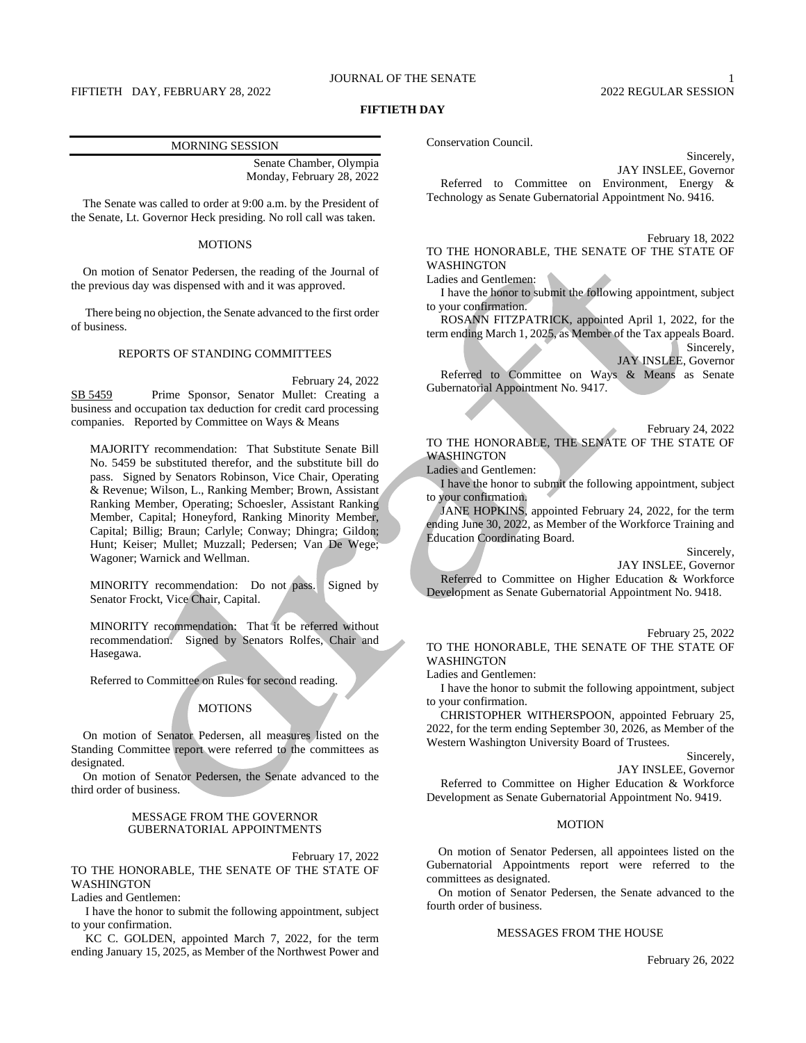### JOURNAL OF THE SENATE 1

FIFTIETH DAY, FEBRUARY 28, 2022 2022 2022 2022 2022 REGULAR SESSION

### **FIFTIETH DAY**

### MORNING SESSION

Senate Chamber, Olympia Monday, February 28, 2022

The Senate was called to order at 9:00 a.m. by the President of the Senate, Lt. Governor Heck presiding. No roll call was taken.

### MOTIONS

On motion of Senator Pedersen, the reading of the Journal of the previous day was dispensed with and it was approved.

There being no objection, the Senate advanced to the first order of business.

### REPORTS OF STANDING COMMITTEES

February 24, 2022

SB 5459 Prime Sponsor, Senator Mullet: Creating a business and occupation tax deduction for credit card processing companies. Reported by Committee on Ways & Means

MAJORITY recommendation: That Substitute Senate Bill No. 5459 be substituted therefor, and the substitute bill do pass. Signed by Senators Robinson, Vice Chair, Operating & Revenue; Wilson, L., Ranking Member; Brown, Assistant Ranking Member, Operating; Schoesler, Assistant Ranking Member, Capital; Honeyford, Ranking Minority Member, Capital; Billig; Braun; Carlyle; Conway; Dhingra; Gildon; Hunt; Keiser; Mullet; Muzzall; Pedersen; Van De Wege; Wagoner; Warnick and Wellman.

MINORITY recommendation: Do not pass. Signed by Senator Frockt, Vice Chair, Capital.

MINORITY recommendation: That it be referred without recommendation. Signed by Senators Rolfes, Chair and Hasegawa.

Referred to Committee on Rules for second reading.

### **MOTIONS**

On motion of Senator Pedersen, all measures listed on the Standing Committee report were referred to the committees as designated.

On motion of Senator Pedersen, the Senate advanced to the third order of business.

### MESSAGE FROM THE GOVERNOR GUBERNATORIAL APPOINTMENTS

February 17, 2022

TO THE HONORABLE, THE SENATE OF THE STATE OF WASHINGTON

Ladies and Gentlemen:

I have the honor to submit the following appointment, subject to your confirmation.

KC C. GOLDEN, appointed March 7, 2022, for the term ending January 15, 2025, as Member of the Northwest Power and Conservation Council.

Sincerely,

JAY INSLEE, Governor Referred to Committee on Environment, Energy & Technology as Senate Gubernatorial Appointment No. 9416.

February 18, 2022 TO THE HONORABLE, THE SENATE OF THE STATE OF WASHINGTON

Ladies and Gentlemen:

I have the honor to submit the following appointment, subject to your confirmation.

ROSANN FITZPATRICK, appointed April 1, 2022, for the term ending March 1, 2025, as Member of the Tax appeals Board.

Sincerely, JAY INSLEE, Governor

Referred to Committee on Ways & Means as Senate Gubernatorial Appointment No. 9417.

February 24, 2022

TO THE HONORABLE, THE SENATE OF THE STATE OF WASHINGTON

Ladies and Gentlemen:

I have the honor to submit the following appointment, subject to your confirmation.

JANE HOPKINS, appointed February 24, 2022, for the term ending June 30, 2022, as Member of the Workforce Training and Education Coordinating Board.

Sincerely,

JAY INSLEE, Governor

Referred to Committee on Higher Education & Workforce Development as Senate Gubernatorial Appointment No. 9418.

TO THE HONORABLE, THE SENATE OF THE STATE OF WASHINGTON

Ladies and Gentlemen:

I have the honor to submit the following appointment, subject to your confirmation.

CHRISTOPHER WITHERSPOON, appointed February 25, 2022, for the term ending September 30, 2026, as Member of the Western Washington University Board of Trustees.

Sincerely,

JAY INSLEE, Governor

Referred to Committee on Higher Education & Workforce Development as Senate Gubernatorial Appointment No. 9419.

### MOTION

On motion of Senator Pedersen, all appointees listed on the Gubernatorial Appointments report were referred to the committees as designated.

On motion of Senator Pedersen, the Senate advanced to the fourth order of business.

### MESSAGES FROM THE HOUSE

February 26, 2022

February 25, 2022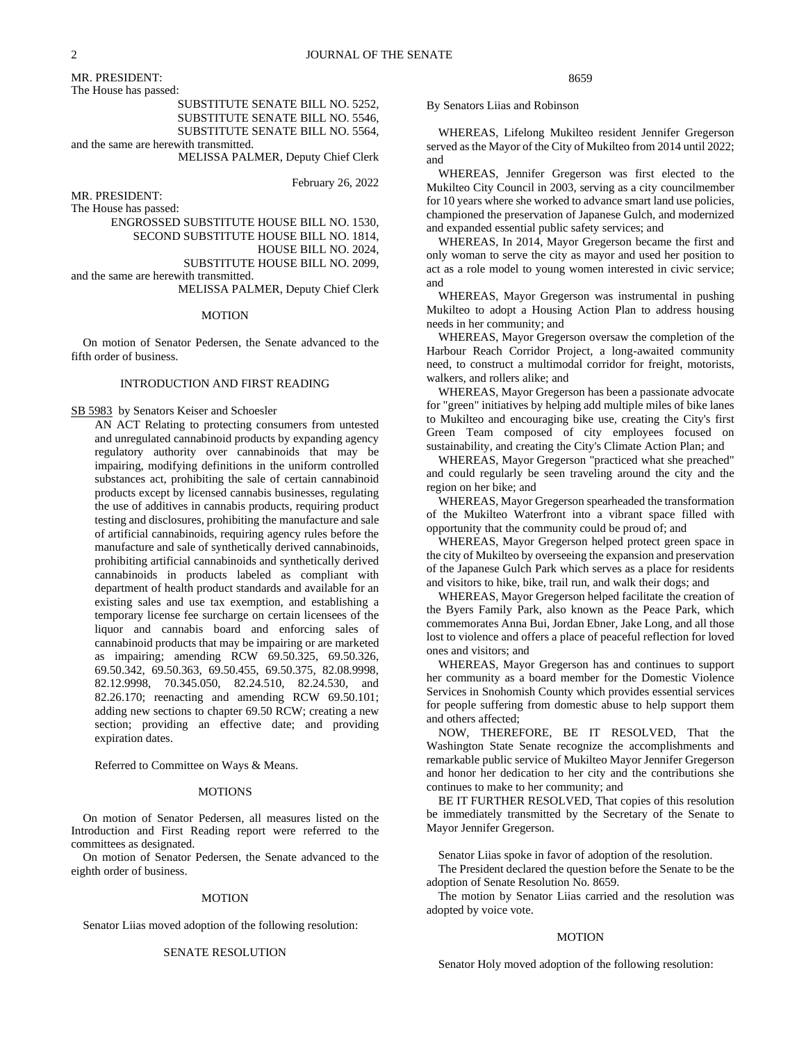MR. PRESIDENT:

The House has passed:

SUBSTITUTE SENATE BILL NO. 5252, SUBSTITUTE SENATE BILL NO. 5546,

SUBSTITUTE SENATE BILL NO. 5564, and the same are herewith transmitted.

MELISSA PALMER, Deputy Chief Clerk

February 26, 2022

MR. PRESIDENT:

The House has passed:

ENGROSSED SUBSTITUTE HOUSE BILL NO. 1530,

SECOND SUBSTITUTE HOUSE BILL NO. 1814,

HOUSE BILL NO. 2024,

SUBSTITUTE HOUSE BILL NO. 2099, and the same are herewith transmitted.

MELISSA PALMER, Deputy Chief Clerk

#### MOTION

On motion of Senator Pedersen, the Senate advanced to the fifth order of business.

### INTRODUCTION AND FIRST READING

SB 5983 by Senators Keiser and Schoesler

AN ACT Relating to protecting consumers from untested and unregulated cannabinoid products by expanding agency regulatory authority over cannabinoids that may be impairing, modifying definitions in the uniform controlled substances act, prohibiting the sale of certain cannabinoid products except by licensed cannabis businesses, regulating the use of additives in cannabis products, requiring product testing and disclosures, prohibiting the manufacture and sale of artificial cannabinoids, requiring agency rules before the manufacture and sale of synthetically derived cannabinoids, prohibiting artificial cannabinoids and synthetically derived cannabinoids in products labeled as compliant with department of health product standards and available for an existing sales and use tax exemption, and establishing a temporary license fee surcharge on certain licensees of the liquor and cannabis board and enforcing sales of cannabinoid products that may be impairing or are marketed as impairing; amending RCW 69.50.325, 69.50.326, 69.50.342, 69.50.363, 69.50.455, 69.50.375, 82.08.9998, 82.12.9998, 70.345.050, 82.24.510, 82.24.530, and 82.26.170; reenacting and amending RCW 69.50.101; adding new sections to chapter 69.50 RCW; creating a new section; providing an effective date; and providing expiration dates.

Referred to Committee on Ways & Means.

#### MOTIONS

On motion of Senator Pedersen, all measures listed on the Introduction and First Reading report were referred to the committees as designated.

On motion of Senator Pedersen, the Senate advanced to the eighth order of business.

#### MOTION

Senator Liias moved adoption of the following resolution:

#### SENATE RESOLUTION

8659

By Senators Liias and Robinson

WHEREAS, Lifelong Mukilteo resident Jennifer Gregerson served as the Mayor of the City of Mukilteo from 2014 until 2022; and

WHEREAS, Jennifer Gregerson was first elected to the Mukilteo City Council in 2003, serving as a city councilmember for 10 years where she worked to advance smart land use policies, championed the preservation of Japanese Gulch, and modernized and expanded essential public safety services; and

WHEREAS, In 2014, Mayor Gregerson became the first and only woman to serve the city as mayor and used her position to act as a role model to young women interested in civic service; and

WHEREAS, Mayor Gregerson was instrumental in pushing Mukilteo to adopt a Housing Action Plan to address housing needs in her community; and

WHEREAS, Mayor Gregerson oversaw the completion of the Harbour Reach Corridor Project, a long-awaited community need, to construct a multimodal corridor for freight, motorists, walkers, and rollers alike; and

WHEREAS, Mayor Gregerson has been a passionate advocate for "green" initiatives by helping add multiple miles of bike lanes to Mukilteo and encouraging bike use, creating the City's first Green Team composed of city employees focused on sustainability, and creating the City's Climate Action Plan; and

WHEREAS, Mayor Gregerson "practiced what she preached" and could regularly be seen traveling around the city and the region on her bike; and

WHEREAS, Mayor Gregerson spearheaded the transformation of the Mukilteo Waterfront into a vibrant space filled with opportunity that the community could be proud of; and

WHEREAS, Mayor Gregerson helped protect green space in the city of Mukilteo by overseeing the expansion and preservation of the Japanese Gulch Park which serves as a place for residents and visitors to hike, bike, trail run, and walk their dogs; and

WHEREAS, Mayor Gregerson helped facilitate the creation of the Byers Family Park, also known as the Peace Park, which commemorates Anna Bui, Jordan Ebner, Jake Long, and all those lost to violence and offers a place of peaceful reflection for loved ones and visitors; and

WHEREAS, Mayor Gregerson has and continues to support her community as a board member for the Domestic Violence Services in Snohomish County which provides essential services for people suffering from domestic abuse to help support them and others affected;

NOW, THEREFORE, BE IT RESOLVED, That the Washington State Senate recognize the accomplishments and remarkable public service of Mukilteo Mayor Jennifer Gregerson and honor her dedication to her city and the contributions she continues to make to her community; and

BE IT FURTHER RESOLVED, That copies of this resolution be immediately transmitted by the Secretary of the Senate to Mayor Jennifer Gregerson.

Senator Liias spoke in favor of adoption of the resolution.

The President declared the question before the Senate to be the adoption of Senate Resolution No. 8659.

The motion by Senator Liias carried and the resolution was adopted by voice vote.

#### MOTION

Senator Holy moved adoption of the following resolution: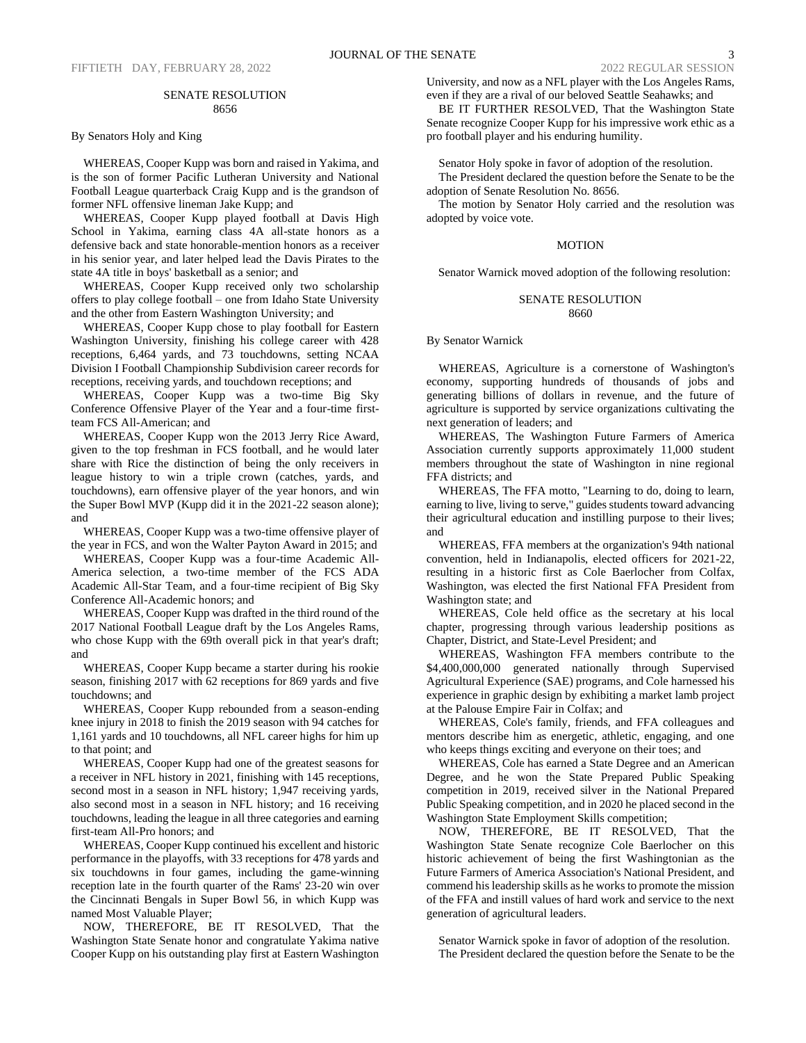### SENATE RESOLUTION 8656

By Senators Holy and King

WHEREAS, Cooper Kupp was born and raised in Yakima, and is the son of former Pacific Lutheran University and National Football League quarterback Craig Kupp and is the grandson of former NFL offensive lineman Jake Kupp; and

WHEREAS, Cooper Kupp played football at Davis High School in Yakima, earning class 4A all-state honors as a defensive back and state honorable-mention honors as a receiver in his senior year, and later helped lead the Davis Pirates to the state 4A title in boys' basketball as a senior; and

WHEREAS, Cooper Kupp received only two scholarship offers to play college football – one from Idaho State University and the other from Eastern Washington University; and

WHEREAS, Cooper Kupp chose to play football for Eastern Washington University, finishing his college career with 428 receptions, 6,464 yards, and 73 touchdowns, setting NCAA Division I Football Championship Subdivision career records for receptions, receiving yards, and touchdown receptions; and

WHEREAS, Cooper Kupp was a two-time Big Sky Conference Offensive Player of the Year and a four-time firstteam FCS All-American; and

WHEREAS, Cooper Kupp won the 2013 Jerry Rice Award, given to the top freshman in FCS football, and he would later share with Rice the distinction of being the only receivers in league history to win a triple crown (catches, yards, and touchdowns), earn offensive player of the year honors, and win the Super Bowl MVP (Kupp did it in the 2021-22 season alone); and

WHEREAS, Cooper Kupp was a two-time offensive player of the year in FCS, and won the Walter Payton Award in 2015; and

WHEREAS, Cooper Kupp was a four-time Academic All-America selection, a two-time member of the FCS ADA Academic All-Star Team, and a four-time recipient of Big Sky Conference All-Academic honors; and

WHEREAS, Cooper Kupp was drafted in the third round of the 2017 National Football League draft by the Los Angeles Rams, who chose Kupp with the 69th overall pick in that year's draft; and

WHEREAS, Cooper Kupp became a starter during his rookie season, finishing 2017 with 62 receptions for 869 yards and five touchdowns; and

WHEREAS, Cooper Kupp rebounded from a season-ending knee injury in 2018 to finish the 2019 season with 94 catches for 1,161 yards and 10 touchdowns, all NFL career highs for him up to that point; and

WHEREAS, Cooper Kupp had one of the greatest seasons for a receiver in NFL history in 2021, finishing with 145 receptions, second most in a season in NFL history; 1,947 receiving yards, also second most in a season in NFL history; and 16 receiving touchdowns, leading the league in all three categories and earning first-team All-Pro honors; and

WHEREAS, Cooper Kupp continued his excellent and historic performance in the playoffs, with 33 receptions for 478 yards and six touchdowns in four games, including the game-winning reception late in the fourth quarter of the Rams' 23-20 win over the Cincinnati Bengals in Super Bowl 56, in which Kupp was named Most Valuable Player;

NOW, THEREFORE, BE IT RESOLVED, That the Washington State Senate honor and congratulate Yakima native Cooper Kupp on his outstanding play first at Eastern Washington

University, and now as a NFL player with the Los Angeles Rams, even if they are a rival of our beloved Seattle Seahawks; and

BE IT FURTHER RESOLVED, That the Washington State Senate recognize Cooper Kupp for his impressive work ethic as a pro football player and his enduring humility.

Senator Holy spoke in favor of adoption of the resolution.

The President declared the question before the Senate to be the adoption of Senate Resolution No. 8656.

The motion by Senator Holy carried and the resolution was adopted by voice vote.

### MOTION

Senator Warnick moved adoption of the following resolution:

### SENATE RESOLUTION 8660

By Senator Warnick

WHEREAS, Agriculture is a cornerstone of Washington's economy, supporting hundreds of thousands of jobs and generating billions of dollars in revenue, and the future of agriculture is supported by service organizations cultivating the next generation of leaders; and

WHEREAS, The Washington Future Farmers of America Association currently supports approximately 11,000 student members throughout the state of Washington in nine regional FFA districts; and

WHEREAS, The FFA motto, "Learning to do, doing to learn, earning to live, living to serve," guides students toward advancing their agricultural education and instilling purpose to their lives; and

WHEREAS, FFA members at the organization's 94th national convention, held in Indianapolis, elected officers for 2021-22, resulting in a historic first as Cole Baerlocher from Colfax, Washington, was elected the first National FFA President from Washington state; and

WHEREAS, Cole held office as the secretary at his local chapter, progressing through various leadership positions as Chapter, District, and State-Level President; and

WHEREAS, Washington FFA members contribute to the \$4,400,000,000 generated nationally through Supervised Agricultural Experience (SAE) programs, and Cole harnessed his experience in graphic design by exhibiting a market lamb project at the Palouse Empire Fair in Colfax; and

WHEREAS, Cole's family, friends, and FFA colleagues and mentors describe him as energetic, athletic, engaging, and one who keeps things exciting and everyone on their toes; and

WHEREAS, Cole has earned a State Degree and an American Degree, and he won the State Prepared Public Speaking competition in 2019, received silver in the National Prepared Public Speaking competition, and in 2020 he placed second in the Washington State Employment Skills competition;

NOW, THEREFORE, BE IT RESOLVED, That the Washington State Senate recognize Cole Baerlocher on this historic achievement of being the first Washingtonian as the Future Farmers of America Association's National President, and commend his leadership skills as he works to promote the mission of the FFA and instill values of hard work and service to the next generation of agricultural leaders.

Senator Warnick spoke in favor of adoption of the resolution. The President declared the question before the Senate to be the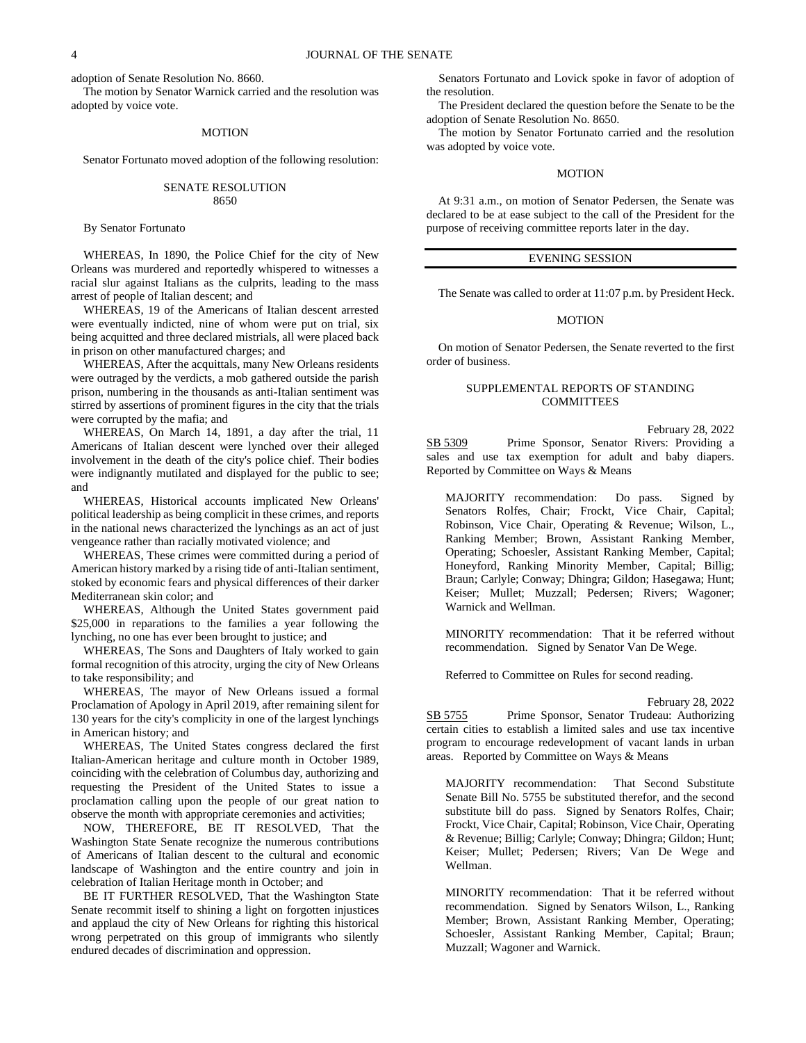adoption of Senate Resolution No. 8660.

The motion by Senator Warnick carried and the resolution was adopted by voice vote.

### MOTION

Senator Fortunato moved adoption of the following resolution:

### SENATE RESOLUTION 8650

#### By Senator Fortunato

WHEREAS, In 1890, the Police Chief for the city of New Orleans was murdered and reportedly whispered to witnesses a racial slur against Italians as the culprits, leading to the mass arrest of people of Italian descent; and

WHEREAS, 19 of the Americans of Italian descent arrested were eventually indicted, nine of whom were put on trial, six being acquitted and three declared mistrials, all were placed back in prison on other manufactured charges; and

WHEREAS, After the acquittals, many New Orleans residents were outraged by the verdicts, a mob gathered outside the parish prison, numbering in the thousands as anti-Italian sentiment was stirred by assertions of prominent figures in the city that the trials were corrupted by the mafia; and

WHEREAS, On March 14, 1891, a day after the trial, 11 Americans of Italian descent were lynched over their alleged involvement in the death of the city's police chief. Their bodies were indignantly mutilated and displayed for the public to see; and

WHEREAS, Historical accounts implicated New Orleans' political leadership as being complicit in these crimes, and reports in the national news characterized the lynchings as an act of just vengeance rather than racially motivated violence; and

WHEREAS, These crimes were committed during a period of American history marked by a rising tide of anti-Italian sentiment, stoked by economic fears and physical differences of their darker Mediterranean skin color; and

WHEREAS, Although the United States government paid \$25,000 in reparations to the families a year following the lynching, no one has ever been brought to justice; and

WHEREAS, The Sons and Daughters of Italy worked to gain formal recognition of this atrocity, urging the city of New Orleans to take responsibility; and

WHEREAS, The mayor of New Orleans issued a formal Proclamation of Apology in April 2019, after remaining silent for 130 years for the city's complicity in one of the largest lynchings in American history; and

WHEREAS, The United States congress declared the first Italian-American heritage and culture month in October 1989, coinciding with the celebration of Columbus day, authorizing and requesting the President of the United States to issue a proclamation calling upon the people of our great nation to observe the month with appropriate ceremonies and activities;

NOW, THEREFORE, BE IT RESOLVED, That the Washington State Senate recognize the numerous contributions of Americans of Italian descent to the cultural and economic landscape of Washington and the entire country and join in celebration of Italian Heritage month in October; and

BE IT FURTHER RESOLVED, That the Washington State Senate recommit itself to shining a light on forgotten injustices and applaud the city of New Orleans for righting this historical wrong perpetrated on this group of immigrants who silently endured decades of discrimination and oppression.

Senators Fortunato and Lovick spoke in favor of adoption of the resolution.

The President declared the question before the Senate to be the adoption of Senate Resolution No. 8650.

The motion by Senator Fortunato carried and the resolution was adopted by voice vote.

### MOTION

At 9:31 a.m., on motion of Senator Pedersen, the Senate was declared to be at ease subject to the call of the President for the purpose of receiving committee reports later in the day.

### EVENING SESSION

The Senate was called to order at 11:07 p.m. by President Heck.

#### **MOTION**

On motion of Senator Pedersen, the Senate reverted to the first order of business.

## SUPPLEMENTAL REPORTS OF STANDING COMMITTEES

February 28, 2022 SB 5309 Prime Sponsor, Senator Rivers: Providing a sales and use tax exemption for adult and baby diapers. Reported by Committee on Ways & Means

MAJORITY recommendation: Do pass. Signed by Senators Rolfes, Chair; Frockt, Vice Chair, Capital; Robinson, Vice Chair, Operating & Revenue; Wilson, L., Ranking Member; Brown, Assistant Ranking Member, Operating; Schoesler, Assistant Ranking Member, Capital; Honeyford, Ranking Minority Member, Capital; Billig; Braun; Carlyle; Conway; Dhingra; Gildon; Hasegawa; Hunt; Keiser; Mullet; Muzzall; Pedersen; Rivers; Wagoner; Warnick and Wellman.

MINORITY recommendation: That it be referred without recommendation. Signed by Senator Van De Wege.

Referred to Committee on Rules for second reading.

#### February 28, 2022

SB 5755 Prime Sponsor, Senator Trudeau: Authorizing certain cities to establish a limited sales and use tax incentive program to encourage redevelopment of vacant lands in urban areas. Reported by Committee on Ways & Means

MAJORITY recommendation: That Second Substitute Senate Bill No. 5755 be substituted therefor, and the second substitute bill do pass. Signed by Senators Rolfes, Chair; Frockt, Vice Chair, Capital; Robinson, Vice Chair, Operating & Revenue; Billig; Carlyle; Conway; Dhingra; Gildon; Hunt; Keiser; Mullet; Pedersen; Rivers; Van De Wege and Wellman.

MINORITY recommendation: That it be referred without recommendation. Signed by Senators Wilson, L., Ranking Member; Brown, Assistant Ranking Member, Operating; Schoesler, Assistant Ranking Member, Capital; Braun; Muzzall; Wagoner and Warnick.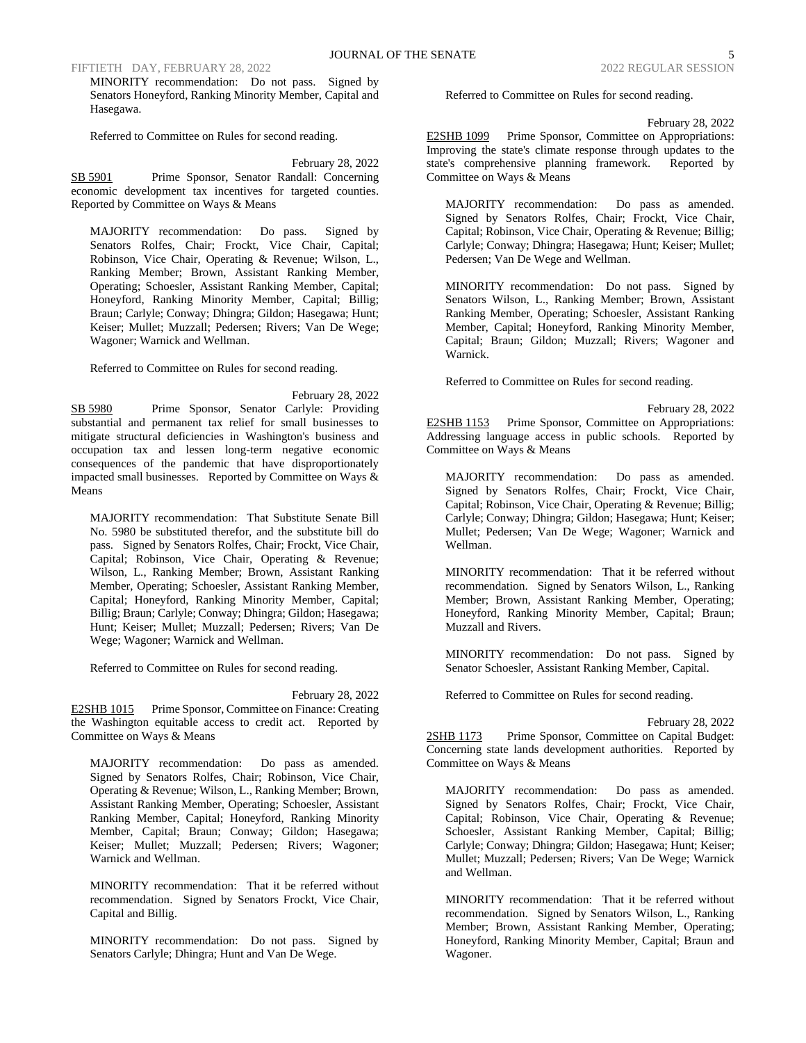FIFTIETH DAY, FEBRUARY 28, 2022 2022 2022 2022 REGULAR SESSION

MINORITY recommendation: Do not pass. Signed by Senators Honeyford, Ranking Minority Member, Capital and Hasegawa.

Referred to Committee on Rules for second reading.

February 28, 2022 SB 5901 Prime Sponsor, Senator Randall: Concerning economic development tax incentives for targeted counties. Reported by Committee on Ways & Means

MAJORITY recommendation: Do pass. Signed by Senators Rolfes, Chair; Frockt, Vice Chair, Capital; Robinson, Vice Chair, Operating & Revenue; Wilson, L., Ranking Member; Brown, Assistant Ranking Member, Operating; Schoesler, Assistant Ranking Member, Capital; Honeyford, Ranking Minority Member, Capital; Billig; Braun; Carlyle; Conway; Dhingra; Gildon; Hasegawa; Hunt; Keiser; Mullet; Muzzall; Pedersen; Rivers; Van De Wege; Wagoner; Warnick and Wellman.

Referred to Committee on Rules for second reading.

February 28, 2022 SB 5980 Prime Sponsor, Senator Carlyle: Providing substantial and permanent tax relief for small businesses to mitigate structural deficiencies in Washington's business and occupation tax and lessen long-term negative economic consequences of the pandemic that have disproportionately impacted small businesses. Reported by Committee on Ways & Means

MAJORITY recommendation: That Substitute Senate Bill No. 5980 be substituted therefor, and the substitute bill do pass. Signed by Senators Rolfes, Chair; Frockt, Vice Chair, Capital; Robinson, Vice Chair, Operating & Revenue; Wilson, L., Ranking Member; Brown, Assistant Ranking Member, Operating; Schoesler, Assistant Ranking Member, Capital; Honeyford, Ranking Minority Member, Capital; Billig; Braun; Carlyle; Conway; Dhingra; Gildon; Hasegawa; Hunt; Keiser; Mullet; Muzzall; Pedersen; Rivers; Van De Wege; Wagoner; Warnick and Wellman.

Referred to Committee on Rules for second reading.

February 28, 2022 E2SHB 1015 Prime Sponsor, Committee on Finance: Creating the Washington equitable access to credit act. Reported by Committee on Ways & Means

MAJORITY recommendation: Do pass as amended. Signed by Senators Rolfes, Chair; Robinson, Vice Chair, Operating & Revenue; Wilson, L., Ranking Member; Brown, Assistant Ranking Member, Operating; Schoesler, Assistant Ranking Member, Capital; Honeyford, Ranking Minority Member, Capital; Braun; Conway; Gildon; Hasegawa; Keiser; Mullet; Muzzall; Pedersen; Rivers; Wagoner; Warnick and Wellman.

MINORITY recommendation: That it be referred without recommendation. Signed by Senators Frockt, Vice Chair, Capital and Billig.

MINORITY recommendation: Do not pass. Signed by Senators Carlyle; Dhingra; Hunt and Van De Wege.

Referred to Committee on Rules for second reading.

February 28, 2022

E2SHB 1099 Prime Sponsor, Committee on Appropriations: Improving the state's climate response through updates to the state's comprehensive planning framework. Reported by Committee on Ways & Means

MAJORITY recommendation: Do pass as amended. Signed by Senators Rolfes, Chair; Frockt, Vice Chair, Capital; Robinson, Vice Chair, Operating & Revenue; Billig; Carlyle; Conway; Dhingra; Hasegawa; Hunt; Keiser; Mullet; Pedersen; Van De Wege and Wellman.

MINORITY recommendation: Do not pass. Signed by Senators Wilson, L., Ranking Member; Brown, Assistant Ranking Member, Operating; Schoesler, Assistant Ranking Member, Capital; Honeyford, Ranking Minority Member, Capital; Braun; Gildon; Muzzall; Rivers; Wagoner and Warnick.

Referred to Committee on Rules for second reading.

February 28, 2022 E2SHB 1153 Prime Sponsor, Committee on Appropriations: Addressing language access in public schools. Reported by Committee on Ways & Means

MAJORITY recommendation: Do pass as amended. Signed by Senators Rolfes, Chair; Frockt, Vice Chair, Capital; Robinson, Vice Chair, Operating & Revenue; Billig; Carlyle; Conway; Dhingra; Gildon; Hasegawa; Hunt; Keiser; Mullet; Pedersen; Van De Wege; Wagoner; Warnick and Wellman.

MINORITY recommendation: That it be referred without recommendation. Signed by Senators Wilson, L., Ranking Member; Brown, Assistant Ranking Member, Operating; Honeyford, Ranking Minority Member, Capital; Braun; Muzzall and Rivers.

MINORITY recommendation: Do not pass. Signed by Senator Schoesler, Assistant Ranking Member, Capital.

Referred to Committee on Rules for second reading.

February 28, 2022 2SHB 1173 Prime Sponsor, Committee on Capital Budget:

Concerning state lands development authorities. Reported by Committee on Ways & Means

MAJORITY recommendation: Do pass as amended. Signed by Senators Rolfes, Chair; Frockt, Vice Chair, Capital; Robinson, Vice Chair, Operating & Revenue; Schoesler, Assistant Ranking Member, Capital; Billig; Carlyle; Conway; Dhingra; Gildon; Hasegawa; Hunt; Keiser; Mullet; Muzzall; Pedersen; Rivers; Van De Wege; Warnick and Wellman.

MINORITY recommendation: That it be referred without recommendation. Signed by Senators Wilson, L., Ranking Member; Brown, Assistant Ranking Member, Operating; Honeyford, Ranking Minority Member, Capital; Braun and Wagoner.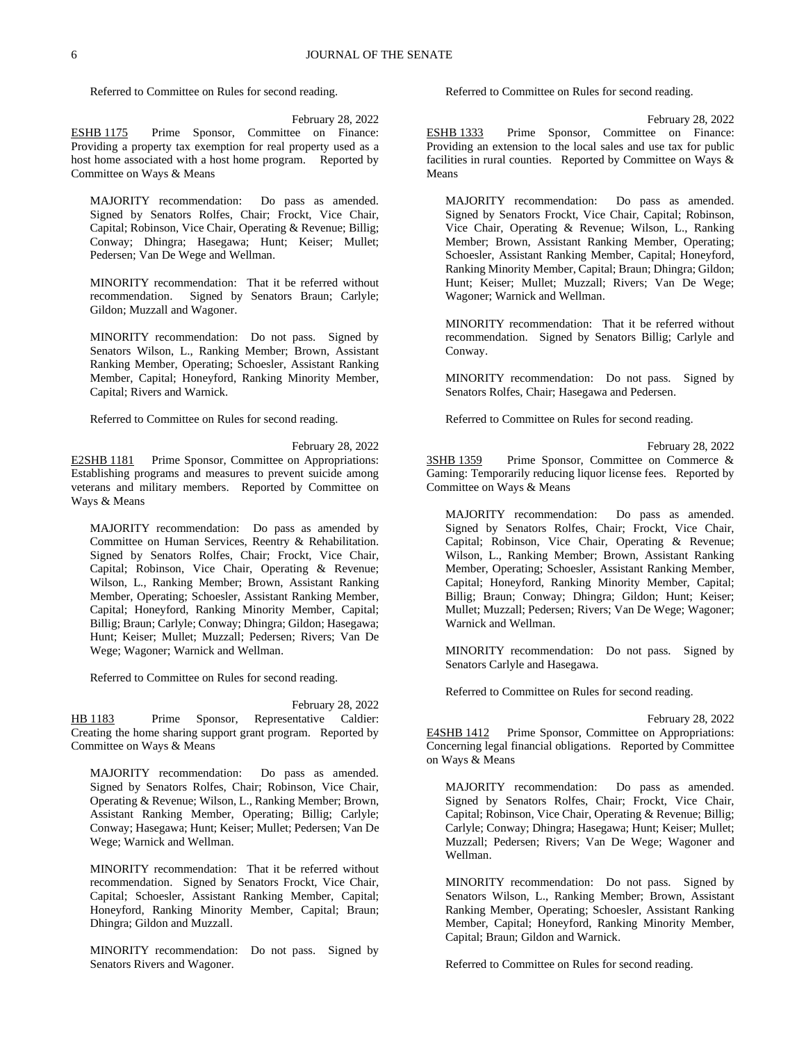Referred to Committee on Rules for second reading.

February 28, 2022

ESHB 1175 Prime Sponsor, Committee on Finance: Providing a property tax exemption for real property used as a host home associated with a host home program. Reported by Committee on Ways & Means

MAJORITY recommendation: Do pass as amended. Signed by Senators Rolfes, Chair; Frockt, Vice Chair, Capital; Robinson, Vice Chair, Operating & Revenue; Billig; Conway; Dhingra; Hasegawa; Hunt; Keiser; Mullet; Pedersen; Van De Wege and Wellman.

MINORITY recommendation: That it be referred without recommendation. Signed by Senators Braun; Carlyle; Gildon; Muzzall and Wagoner.

MINORITY recommendation: Do not pass. Signed by Senators Wilson, L., Ranking Member; Brown, Assistant Ranking Member, Operating; Schoesler, Assistant Ranking Member, Capital; Honeyford, Ranking Minority Member, Capital; Rivers and Warnick.

Referred to Committee on Rules for second reading.

February 28, 2022 E2SHB 1181 Prime Sponsor, Committee on Appropriations: Establishing programs and measures to prevent suicide among veterans and military members. Reported by Committee on Ways & Means

MAJORITY recommendation: Do pass as amended by Committee on Human Services, Reentry & Rehabilitation. Signed by Senators Rolfes, Chair; Frockt, Vice Chair, Capital; Robinson, Vice Chair, Operating & Revenue; Wilson, L., Ranking Member; Brown, Assistant Ranking Member, Operating; Schoesler, Assistant Ranking Member, Capital; Honeyford, Ranking Minority Member, Capital; Billig; Braun; Carlyle; Conway; Dhingra; Gildon; Hasegawa; Hunt; Keiser; Mullet; Muzzall; Pedersen; Rivers; Van De Wege; Wagoner; Warnick and Wellman.

Referred to Committee on Rules for second reading.

February 28, 2022 HB 1183 Prime Sponsor, Representative Caldier: Creating the home sharing support grant program. Reported by Committee on Ways & Means

MAJORITY recommendation: Do pass as amended. Signed by Senators Rolfes, Chair; Robinson, Vice Chair, Operating & Revenue; Wilson, L., Ranking Member; Brown, Assistant Ranking Member, Operating; Billig; Carlyle; Conway; Hasegawa; Hunt; Keiser; Mullet; Pedersen; Van De Wege; Warnick and Wellman.

MINORITY recommendation: That it be referred without recommendation. Signed by Senators Frockt, Vice Chair, Capital; Schoesler, Assistant Ranking Member, Capital; Honeyford, Ranking Minority Member, Capital; Braun; Dhingra; Gildon and Muzzall.

MINORITY recommendation: Do not pass. Signed by Senators Rivers and Wagoner.

Referred to Committee on Rules for second reading.

February 28, 2022

ESHB 1333 Prime Sponsor, Committee on Finance: Providing an extension to the local sales and use tax for public facilities in rural counties. Reported by Committee on Ways & Means

MAJORITY recommendation: Do pass as amended. Signed by Senators Frockt, Vice Chair, Capital; Robinson, Vice Chair, Operating & Revenue; Wilson, L., Ranking Member; Brown, Assistant Ranking Member, Operating; Schoesler, Assistant Ranking Member, Capital; Honeyford, Ranking Minority Member, Capital; Braun; Dhingra; Gildon; Hunt; Keiser; Mullet; Muzzall; Rivers; Van De Wege; Wagoner; Warnick and Wellman.

MINORITY recommendation: That it be referred without recommendation. Signed by Senators Billig; Carlyle and Conway.

MINORITY recommendation: Do not pass. Signed by Senators Rolfes, Chair; Hasegawa and Pedersen.

Referred to Committee on Rules for second reading.

February 28, 2022

3SHB 1359 Prime Sponsor, Committee on Commerce & Gaming: Temporarily reducing liquor license fees. Reported by Committee on Ways & Means

MAJORITY recommendation: Do pass as amended. Signed by Senators Rolfes, Chair; Frockt, Vice Chair, Capital; Robinson, Vice Chair, Operating & Revenue; Wilson, L., Ranking Member; Brown, Assistant Ranking Member, Operating; Schoesler, Assistant Ranking Member, Capital; Honeyford, Ranking Minority Member, Capital; Billig; Braun; Conway; Dhingra; Gildon; Hunt; Keiser; Mullet; Muzzall; Pedersen; Rivers; Van De Wege; Wagoner; Warnick and Wellman.

MINORITY recommendation: Do not pass. Signed by Senators Carlyle and Hasegawa.

Referred to Committee on Rules for second reading.

February 28, 2022 E4SHB 1412 Prime Sponsor, Committee on Appropriations: Concerning legal financial obligations. Reported by Committee on Ways & Means

MAJORITY recommendation: Do pass as amended. Signed by Senators Rolfes, Chair; Frockt, Vice Chair, Capital; Robinson, Vice Chair, Operating & Revenue; Billig; Carlyle; Conway; Dhingra; Hasegawa; Hunt; Keiser; Mullet; Muzzall; Pedersen; Rivers; Van De Wege; Wagoner and Wellman.

MINORITY recommendation: Do not pass. Signed by Senators Wilson, L., Ranking Member; Brown, Assistant Ranking Member, Operating; Schoesler, Assistant Ranking Member, Capital; Honeyford, Ranking Minority Member, Capital; Braun; Gildon and Warnick.

Referred to Committee on Rules for second reading.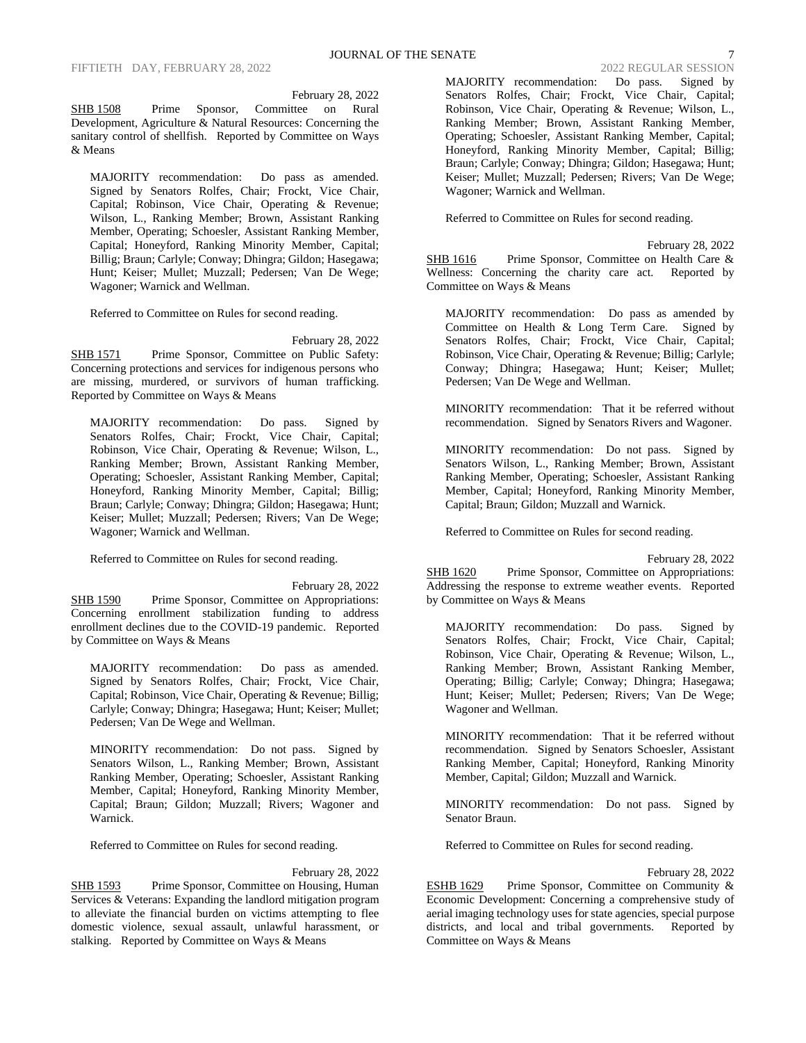February 28, 2022

SHB 1508 Prime Sponsor, Committee on Rural Development, Agriculture  $\&$  Natural Resources: Concerning the sanitary control of shellfish. Reported by Committee on Ways & Means

MAJORITY recommendation: Do pass as amended. Signed by Senators Rolfes, Chair; Frockt, Vice Chair, Capital; Robinson, Vice Chair, Operating & Revenue; Wilson, L., Ranking Member; Brown, Assistant Ranking Member, Operating; Schoesler, Assistant Ranking Member, Capital; Honeyford, Ranking Minority Member, Capital; Billig; Braun; Carlyle; Conway; Dhingra; Gildon; Hasegawa; Hunt; Keiser; Mullet; Muzzall; Pedersen; Van De Wege; Wagoner; Warnick and Wellman.

Referred to Committee on Rules for second reading.

February 28, 2022

SHB 1571 Prime Sponsor, Committee on Public Safety: Concerning protections and services for indigenous persons who are missing, murdered, or survivors of human trafficking. Reported by Committee on Ways & Means

MAJORITY recommendation: Do pass. Signed by Senators Rolfes, Chair; Frockt, Vice Chair, Capital; Robinson, Vice Chair, Operating & Revenue; Wilson, L., Ranking Member; Brown, Assistant Ranking Member, Operating; Schoesler, Assistant Ranking Member, Capital; Honeyford, Ranking Minority Member, Capital; Billig; Braun; Carlyle; Conway; Dhingra; Gildon; Hasegawa; Hunt; Keiser; Mullet; Muzzall; Pedersen; Rivers; Van De Wege; Wagoner; Warnick and Wellman.

Referred to Committee on Rules for second reading.

February 28, 2022 SHB 1590 Prime Sponsor, Committee on Appropriations: Concerning enrollment stabilization funding to address enrollment declines due to the COVID-19 pandemic. Reported by Committee on Ways & Means

MAJORITY recommendation: Do pass as amended. Signed by Senators Rolfes, Chair; Frockt, Vice Chair, Capital; Robinson, Vice Chair, Operating & Revenue; Billig; Carlyle; Conway; Dhingra; Hasegawa; Hunt; Keiser; Mullet; Pedersen; Van De Wege and Wellman.

MINORITY recommendation: Do not pass. Signed by Senators Wilson, L., Ranking Member; Brown, Assistant Ranking Member, Operating; Schoesler, Assistant Ranking Member, Capital; Honeyford, Ranking Minority Member, Capital; Braun; Gildon; Muzzall; Rivers; Wagoner and Warnick.

Referred to Committee on Rules for second reading.

#### February 28, 2022

SHB 1593 Prime Sponsor, Committee on Housing, Human Services & Veterans: Expanding the landlord mitigation program to alleviate the financial burden on victims attempting to flee domestic violence, sexual assault, unlawful harassment, or stalking. Reported by Committee on Ways & Means

MAJORITY recommendation: Do pass. Signed by Senators Rolfes, Chair; Frockt, Vice Chair, Capital; Robinson, Vice Chair, Operating & Revenue; Wilson, L., Ranking Member; Brown, Assistant Ranking Member, Operating; Schoesler, Assistant Ranking Member, Capital; Honeyford, Ranking Minority Member, Capital; Billig; Braun; Carlyle; Conway; Dhingra; Gildon; Hasegawa; Hunt; Keiser; Mullet; Muzzall; Pedersen; Rivers; Van De Wege; Wagoner; Warnick and Wellman.

Referred to Committee on Rules for second reading.

February 28, 2022

SHB 1616 Prime Sponsor, Committee on Health Care & Wellness: Concerning the charity care act. Reported by Committee on Ways & Means

MAJORITY recommendation: Do pass as amended by Committee on Health & Long Term Care. Signed by Senators Rolfes, Chair; Frockt, Vice Chair, Capital; Robinson, Vice Chair, Operating & Revenue; Billig; Carlyle; Conway; Dhingra; Hasegawa; Hunt; Keiser; Mullet; Pedersen; Van De Wege and Wellman.

MINORITY recommendation: That it be referred without recommendation. Signed by Senators Rivers and Wagoner.

MINORITY recommendation: Do not pass. Signed by Senators Wilson, L., Ranking Member; Brown, Assistant Ranking Member, Operating; Schoesler, Assistant Ranking Member, Capital; Honeyford, Ranking Minority Member, Capital; Braun; Gildon; Muzzall and Warnick.

Referred to Committee on Rules for second reading.

February 28, 2022 SHB 1620 Prime Sponsor, Committee on Appropriations: Addressing the response to extreme weather events. Reported by Committee on Ways & Means

MAJORITY recommendation: Do pass. Signed by Senators Rolfes, Chair; Frockt, Vice Chair, Capital; Robinson, Vice Chair, Operating & Revenue; Wilson, L., Ranking Member; Brown, Assistant Ranking Member, Operating; Billig; Carlyle; Conway; Dhingra; Hasegawa; Hunt; Keiser; Mullet; Pedersen; Rivers; Van De Wege; Wagoner and Wellman.

MINORITY recommendation: That it be referred without recommendation. Signed by Senators Schoesler, Assistant Ranking Member, Capital; Honeyford, Ranking Minority Member, Capital; Gildon; Muzzall and Warnick.

MINORITY recommendation: Do not pass. Signed by Senator Braun.

Referred to Committee on Rules for second reading.

#### February 28, 2022

ESHB 1629 Prime Sponsor, Committee on Community & Economic Development: Concerning a comprehensive study of aerial imaging technology uses for state agencies, special purpose districts, and local and tribal governments. Reported by Committee on Ways & Means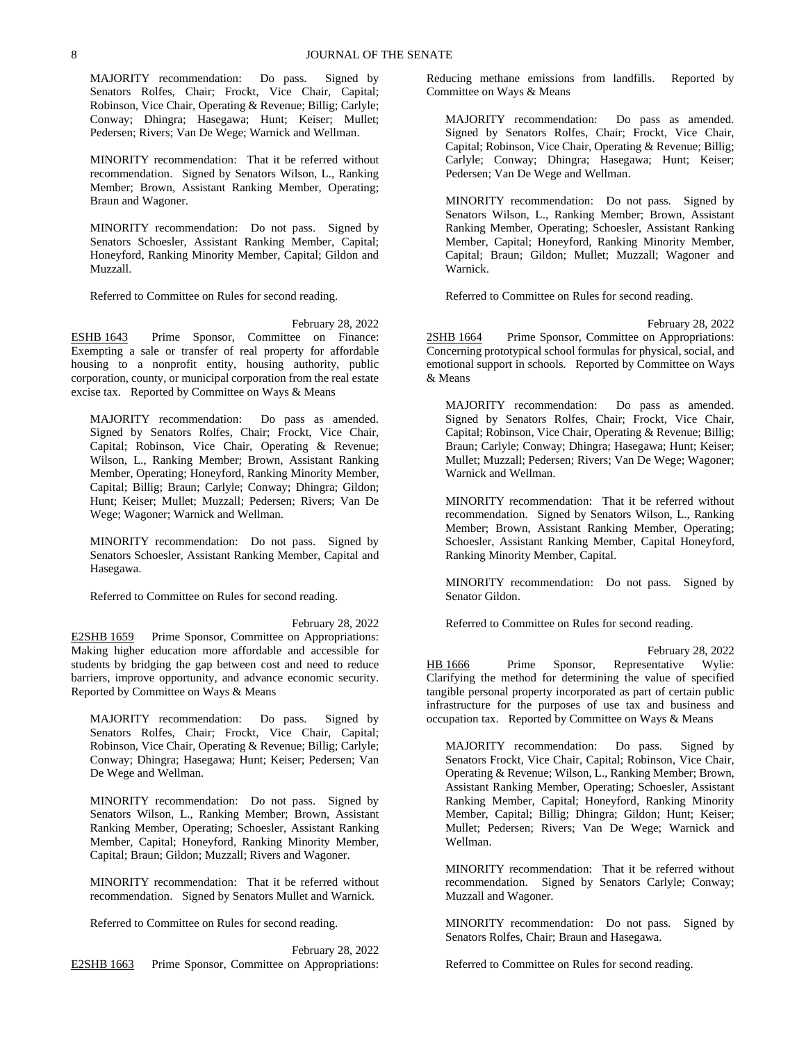MAJORITY recommendation: Do pass. Signed by Senators Rolfes, Chair; Frockt, Vice Chair, Capital; Robinson, Vice Chair, Operating & Revenue; Billig; Carlyle; Conway; Dhingra; Hasegawa; Hunt; Keiser; Mullet; Pedersen; Rivers; Van De Wege; Warnick and Wellman.

MINORITY recommendation: That it be referred without recommendation. Signed by Senators Wilson, L., Ranking Member; Brown, Assistant Ranking Member, Operating; Braun and Wagoner.

MINORITY recommendation: Do not pass. Signed by Senators Schoesler, Assistant Ranking Member, Capital; Honeyford, Ranking Minority Member, Capital; Gildon and Muzzall.

Referred to Committee on Rules for second reading.

February 28, 2022 ESHB 1643 Prime Sponsor, Committee on Finance: Exempting a sale or transfer of real property for affordable housing to a nonprofit entity, housing authority, public corporation, county, or municipal corporation from the real estate excise tax. Reported by Committee on Ways & Means

MAJORITY recommendation: Do pass as amended. Signed by Senators Rolfes, Chair; Frockt, Vice Chair, Capital; Robinson, Vice Chair, Operating & Revenue; Wilson, L., Ranking Member; Brown, Assistant Ranking Member, Operating; Honeyford, Ranking Minority Member, Capital; Billig; Braun; Carlyle; Conway; Dhingra; Gildon; Hunt; Keiser; Mullet; Muzzall; Pedersen; Rivers; Van De Wege; Wagoner; Warnick and Wellman.

MINORITY recommendation: Do not pass. Signed by Senators Schoesler, Assistant Ranking Member, Capital and Hasegawa.

Referred to Committee on Rules for second reading.

February 28, 2022

E2SHB 1659 Prime Sponsor, Committee on Appropriations: Making higher education more affordable and accessible for students by bridging the gap between cost and need to reduce barriers, improve opportunity, and advance economic security. Reported by Committee on Ways & Means

MAJORITY recommendation: Do pass. Signed by Senators Rolfes, Chair; Frockt, Vice Chair, Capital; Robinson, Vice Chair, Operating & Revenue; Billig; Carlyle; Conway; Dhingra; Hasegawa; Hunt; Keiser; Pedersen; Van De Wege and Wellman.

MINORITY recommendation: Do not pass. Signed by Senators Wilson, L., Ranking Member; Brown, Assistant Ranking Member, Operating; Schoesler, Assistant Ranking Member, Capital; Honeyford, Ranking Minority Member, Capital; Braun; Gildon; Muzzall; Rivers and Wagoner.

MINORITY recommendation: That it be referred without recommendation. Signed by Senators Mullet and Warnick.

Referred to Committee on Rules for second reading.

February 28, 2022 E2SHB 1663 Prime Sponsor, Committee on Appropriations: Reducing methane emissions from landfills. Reported by Committee on Ways & Means

MAJORITY recommendation: Do pass as amended. Signed by Senators Rolfes, Chair; Frockt, Vice Chair, Capital; Robinson, Vice Chair, Operating & Revenue; Billig; Carlyle; Conway; Dhingra; Hasegawa; Hunt; Keiser; Pedersen; Van De Wege and Wellman.

MINORITY recommendation: Do not pass. Signed by Senators Wilson, L., Ranking Member; Brown, Assistant Ranking Member, Operating; Schoesler, Assistant Ranking Member, Capital; Honeyford, Ranking Minority Member, Capital; Braun; Gildon; Mullet; Muzzall; Wagoner and Warnick.

Referred to Committee on Rules for second reading.

February 28, 2022 2SHB 1664 Prime Sponsor, Committee on Appropriations: Concerning prototypical school formulas for physical, social, and emotional support in schools. Reported by Committee on Ways & Means

MAJORITY recommendation: Do pass as amended. Signed by Senators Rolfes, Chair; Frockt, Vice Chair, Capital; Robinson, Vice Chair, Operating & Revenue; Billig; Braun; Carlyle; Conway; Dhingra; Hasegawa; Hunt; Keiser; Mullet; Muzzall; Pedersen; Rivers; Van De Wege; Wagoner; Warnick and Wellman.

MINORITY recommendation: That it be referred without recommendation. Signed by Senators Wilson, L., Ranking Member; Brown, Assistant Ranking Member, Operating; Schoesler, Assistant Ranking Member, Capital Honeyford, Ranking Minority Member, Capital.

MINORITY recommendation: Do not pass. Signed by Senator Gildon.

Referred to Committee on Rules for second reading.

February 28, 2022 HB 1666 Prime Sponsor, Representative Wylie: Clarifying the method for determining the value of specified tangible personal property incorporated as part of certain public infrastructure for the purposes of use tax and business and occupation tax. Reported by Committee on Ways & Means

MAJORITY recommendation: Do pass. Signed by Senators Frockt, Vice Chair, Capital; Robinson, Vice Chair, Operating & Revenue; Wilson, L., Ranking Member; Brown, Assistant Ranking Member, Operating; Schoesler, Assistant Ranking Member, Capital; Honeyford, Ranking Minority Member, Capital; Billig; Dhingra; Gildon; Hunt; Keiser; Mullet; Pedersen; Rivers; Van De Wege; Warnick and Wellman.

MINORITY recommendation: That it be referred without recommendation. Signed by Senators Carlyle; Conway; Muzzall and Wagoner.

MINORITY recommendation: Do not pass. Signed by Senators Rolfes, Chair; Braun and Hasegawa.

Referred to Committee on Rules for second reading.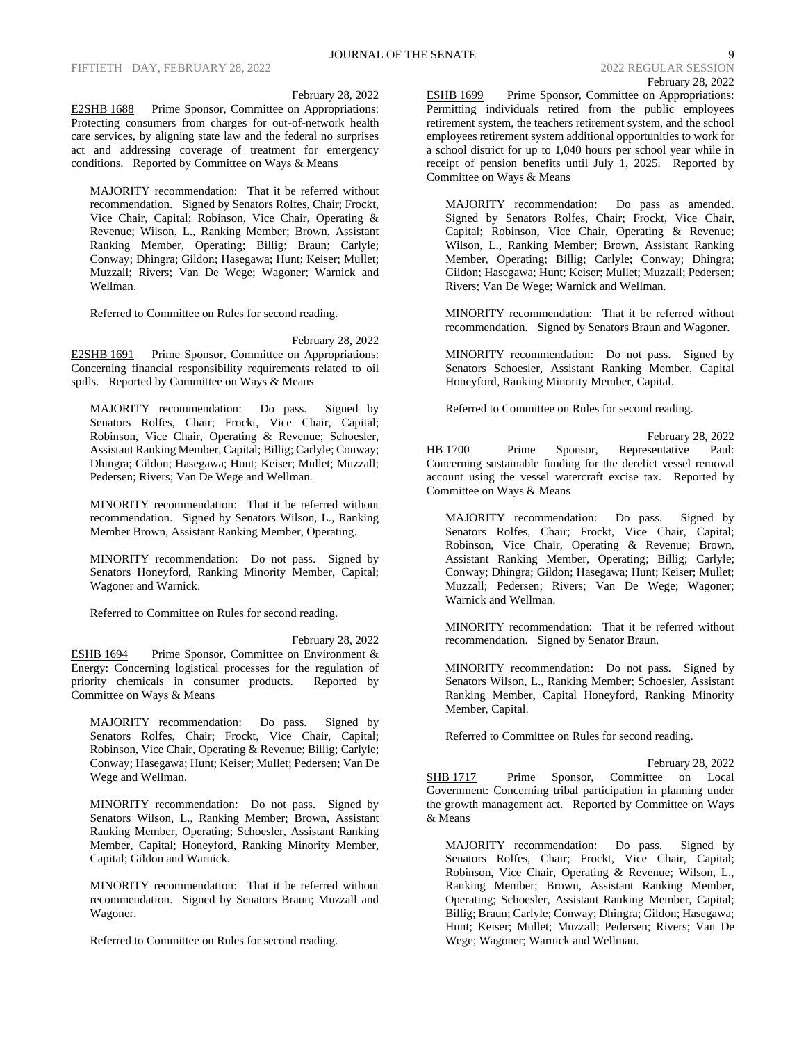# JOURNAL OF THE SENATE 9 2022 REGULAR SESSION February 28, 2022

#### February 28, 2022

E2SHB 1688 Prime Sponsor, Committee on Appropriations: Protecting consumers from charges for out-of-network health care services, by aligning state law and the federal no surprises act and addressing coverage of treatment for emergency conditions. Reported by Committee on Ways & Means

MAJORITY recommendation: That it be referred without recommendation. Signed by Senators Rolfes, Chair; Frockt, Vice Chair, Capital; Robinson, Vice Chair, Operating & Revenue; Wilson, L., Ranking Member; Brown, Assistant Ranking Member, Operating; Billig; Braun; Carlyle; Conway; Dhingra; Gildon; Hasegawa; Hunt; Keiser; Mullet; Muzzall; Rivers; Van De Wege; Wagoner; Warnick and Wellman.

Referred to Committee on Rules for second reading.

February 28, 2022

E2SHB 1691 Prime Sponsor, Committee on Appropriations: Concerning financial responsibility requirements related to oil spills. Reported by Committee on Ways & Means

MAJORITY recommendation: Do pass. Signed by Senators Rolfes, Chair; Frockt, Vice Chair, Capital; Robinson, Vice Chair, Operating & Revenue; Schoesler, Assistant Ranking Member, Capital; Billig; Carlyle; Conway; Dhingra; Gildon; Hasegawa; Hunt; Keiser; Mullet; Muzzall; Pedersen; Rivers; Van De Wege and Wellman.

MINORITY recommendation: That it be referred without recommendation. Signed by Senators Wilson, L., Ranking Member Brown, Assistant Ranking Member, Operating.

MINORITY recommendation: Do not pass. Signed by Senators Honeyford, Ranking Minority Member, Capital; Wagoner and Warnick.

Referred to Committee on Rules for second reading.

February 28, 2022 ESHB 1694 Prime Sponsor, Committee on Environment & Energy: Concerning logistical processes for the regulation of priority chemicals in consumer products. Reported by Committee on Ways & Means

MAJORITY recommendation: Do pass. Signed by Senators Rolfes, Chair; Frockt, Vice Chair, Capital; Robinson, Vice Chair, Operating & Revenue; Billig; Carlyle; Conway; Hasegawa; Hunt; Keiser; Mullet; Pedersen; Van De Wege and Wellman.

MINORITY recommendation: Do not pass. Signed by Senators Wilson, L., Ranking Member; Brown, Assistant Ranking Member, Operating; Schoesler, Assistant Ranking Member, Capital; Honeyford, Ranking Minority Member, Capital; Gildon and Warnick.

MINORITY recommendation: That it be referred without recommendation. Signed by Senators Braun; Muzzall and Wagoner.

Referred to Committee on Rules for second reading.

ESHB 1699 Prime Sponsor, Committee on Appropriations: Permitting individuals retired from the public employees retirement system, the teachers retirement system, and the school employees retirement system additional opportunities to work for a school district for up to 1,040 hours per school year while in receipt of pension benefits until July 1, 2025. Reported by Committee on Ways & Means

MAJORITY recommendation: Do pass as amended. Signed by Senators Rolfes, Chair; Frockt, Vice Chair, Capital; Robinson, Vice Chair, Operating & Revenue; Wilson, L., Ranking Member; Brown, Assistant Ranking Member, Operating; Billig; Carlyle; Conway; Dhingra; Gildon; Hasegawa; Hunt; Keiser; Mullet; Muzzall; Pedersen; Rivers; Van De Wege; Warnick and Wellman.

MINORITY recommendation: That it be referred without recommendation. Signed by Senators Braun and Wagoner.

MINORITY recommendation: Do not pass. Signed by Senators Schoesler, Assistant Ranking Member, Capital Honeyford, Ranking Minority Member, Capital.

Referred to Committee on Rules for second reading.

February 28, 2022<br>sentative Paul: HB 1700 Prime Sponsor, Representative Concerning sustainable funding for the derelict vessel removal account using the vessel watercraft excise tax. Reported by Committee on Ways & Means

MAJORITY recommendation: Do pass. Signed by Senators Rolfes, Chair; Frockt, Vice Chair, Capital; Robinson, Vice Chair, Operating & Revenue; Brown, Assistant Ranking Member, Operating; Billig; Carlyle; Conway; Dhingra; Gildon; Hasegawa; Hunt; Keiser; Mullet; Muzzall; Pedersen; Rivers; Van De Wege; Wagoner; Warnick and Wellman.

MINORITY recommendation: That it be referred without recommendation. Signed by Senator Braun.

MINORITY recommendation: Do not pass. Signed by Senators Wilson, L., Ranking Member; Schoesler, Assistant Ranking Member, Capital Honeyford, Ranking Minority Member, Capital.

Referred to Committee on Rules for second reading.

February 28, 2022 SHB 1717 Prime Sponsor, Committee on Local Government: Concerning tribal participation in planning under the growth management act. Reported by Committee on Ways & Means

MAJORITY recommendation: Do pass. Signed by Senators Rolfes, Chair; Frockt, Vice Chair, Capital; Robinson, Vice Chair, Operating & Revenue; Wilson, L., Ranking Member; Brown, Assistant Ranking Member, Operating; Schoesler, Assistant Ranking Member, Capital; Billig; Braun; Carlyle; Conway; Dhingra; Gildon; Hasegawa; Hunt; Keiser; Mullet; Muzzall; Pedersen; Rivers; Van De Wege; Wagoner; Warnick and Wellman.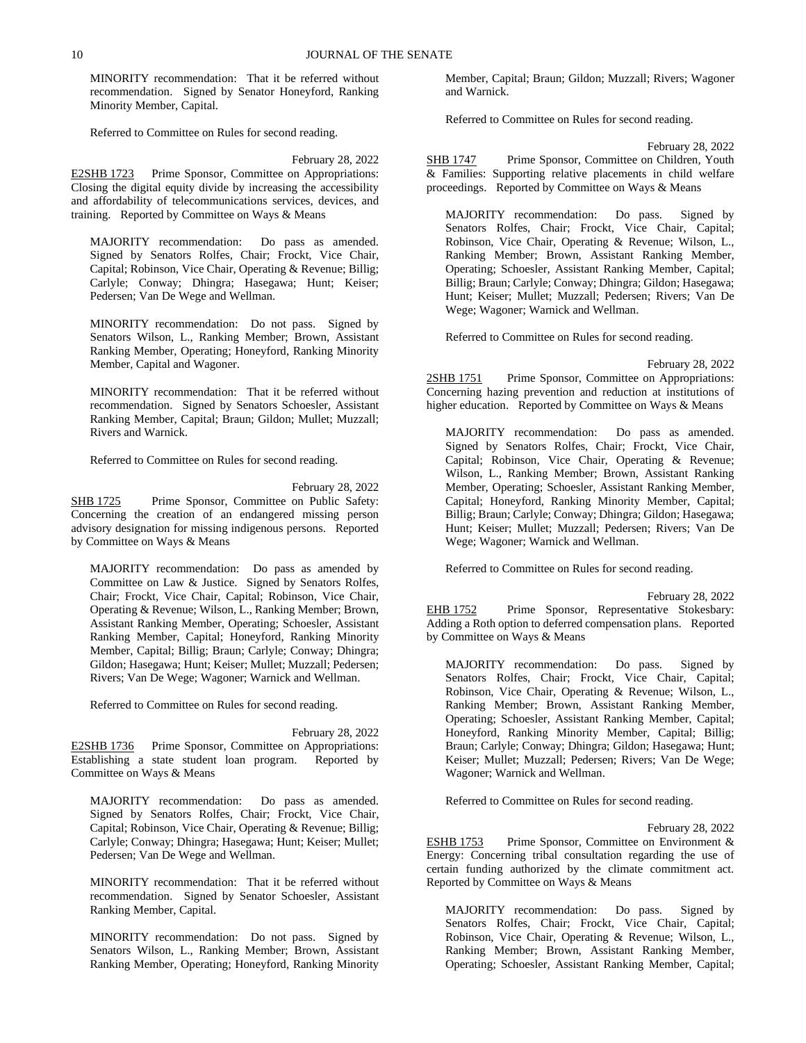MINORITY recommendation: That it be referred without recommendation. Signed by Senator Honeyford, Ranking Minority Member, Capital.

Referred to Committee on Rules for second reading.

February 28, 2022 E2SHB 1723 Prime Sponsor, Committee on Appropriations: Closing the digital equity divide by increasing the accessibility and affordability of telecommunications services, devices, and training. Reported by Committee on Ways & Means

MAJORITY recommendation: Do pass as amended. Signed by Senators Rolfes, Chair; Frockt, Vice Chair, Capital; Robinson, Vice Chair, Operating & Revenue; Billig; Carlyle; Conway; Dhingra; Hasegawa; Hunt; Keiser; Pedersen; Van De Wege and Wellman.

MINORITY recommendation: Do not pass. Signed by Senators Wilson, L., Ranking Member; Brown, Assistant Ranking Member, Operating; Honeyford, Ranking Minority Member, Capital and Wagoner.

MINORITY recommendation: That it be referred without recommendation. Signed by Senators Schoesler, Assistant Ranking Member, Capital; Braun; Gildon; Mullet; Muzzall; Rivers and Warnick.

Referred to Committee on Rules for second reading.

February 28, 2022 SHB 1725 Prime Sponsor, Committee on Public Safety: Concerning the creation of an endangered missing person advisory designation for missing indigenous persons. Reported by Committee on Ways & Means

MAJORITY recommendation: Do pass as amended by Committee on Law & Justice. Signed by Senators Rolfes, Chair; Frockt, Vice Chair, Capital; Robinson, Vice Chair, Operating & Revenue; Wilson, L., Ranking Member; Brown, Assistant Ranking Member, Operating; Schoesler, Assistant Ranking Member, Capital; Honeyford, Ranking Minority Member, Capital; Billig; Braun; Carlyle; Conway; Dhingra; Gildon; Hasegawa; Hunt; Keiser; Mullet; Muzzall; Pedersen; Rivers; Van De Wege; Wagoner; Warnick and Wellman.

Referred to Committee on Rules for second reading.

February 28, 2022 E2SHB 1736 Prime Sponsor, Committee on Appropriations: Establishing a state student loan program. Reported by Committee on Ways & Means

MAJORITY recommendation: Do pass as amended. Signed by Senators Rolfes, Chair; Frockt, Vice Chair, Capital; Robinson, Vice Chair, Operating & Revenue; Billig; Carlyle; Conway; Dhingra; Hasegawa; Hunt; Keiser; Mullet; Pedersen; Van De Wege and Wellman.

MINORITY recommendation: That it be referred without recommendation. Signed by Senator Schoesler, Assistant Ranking Member, Capital.

MINORITY recommendation: Do not pass. Signed by Senators Wilson, L., Ranking Member; Brown, Assistant Ranking Member, Operating; Honeyford, Ranking Minority Member, Capital; Braun; Gildon; Muzzall; Rivers; Wagoner and Warnick.

Referred to Committee on Rules for second reading.

February 28, 2022 SHB 1747 Prime Sponsor, Committee on Children, Youth & Families: Supporting relative placements in child welfare proceedings. Reported by Committee on Ways & Means

MAJORITY recommendation: Do pass. Signed by Senators Rolfes, Chair; Frockt, Vice Chair, Capital; Robinson, Vice Chair, Operating & Revenue; Wilson, L., Ranking Member; Brown, Assistant Ranking Member, Operating; Schoesler, Assistant Ranking Member, Capital; Billig; Braun; Carlyle; Conway; Dhingra; Gildon; Hasegawa; Hunt; Keiser; Mullet; Muzzall; Pedersen; Rivers; Van De Wege; Wagoner; Warnick and Wellman.

Referred to Committee on Rules for second reading.

February 28, 2022

2SHB 1751 Prime Sponsor, Committee on Appropriations: Concerning hazing prevention and reduction at institutions of higher education. Reported by Committee on Ways & Means

MAJORITY recommendation: Do pass as amended. Signed by Senators Rolfes, Chair; Frockt, Vice Chair, Capital; Robinson, Vice Chair, Operating & Revenue; Wilson, L., Ranking Member; Brown, Assistant Ranking Member, Operating; Schoesler, Assistant Ranking Member, Capital; Honeyford, Ranking Minority Member, Capital; Billig; Braun; Carlyle; Conway; Dhingra; Gildon; Hasegawa; Hunt; Keiser; Mullet; Muzzall; Pedersen; Rivers; Van De Wege; Wagoner; Warnick and Wellman.

Referred to Committee on Rules for second reading.

February 28, 2022 EHB 1752 Prime Sponsor, Representative Stokesbary: Adding a Roth option to deferred compensation plans. Reported by Committee on Ways & Means

MAJORITY recommendation: Do pass. Signed by Senators Rolfes, Chair; Frockt, Vice Chair, Capital; Robinson, Vice Chair, Operating & Revenue; Wilson, L., Ranking Member; Brown, Assistant Ranking Member, Operating; Schoesler, Assistant Ranking Member, Capital; Honeyford, Ranking Minority Member, Capital; Billig; Braun; Carlyle; Conway; Dhingra; Gildon; Hasegawa; Hunt; Keiser; Mullet; Muzzall; Pedersen; Rivers; Van De Wege; Wagoner; Warnick and Wellman.

Referred to Committee on Rules for second reading.

February 28, 2022

ESHB 1753 Prime Sponsor, Committee on Environment & Energy: Concerning tribal consultation regarding the use of certain funding authorized by the climate commitment act. Reported by Committee on Ways & Means

MAJORITY recommendation: Do pass. Signed by Senators Rolfes, Chair; Frockt, Vice Chair, Capital; Robinson, Vice Chair, Operating & Revenue; Wilson, L., Ranking Member; Brown, Assistant Ranking Member, Operating; Schoesler, Assistant Ranking Member, Capital;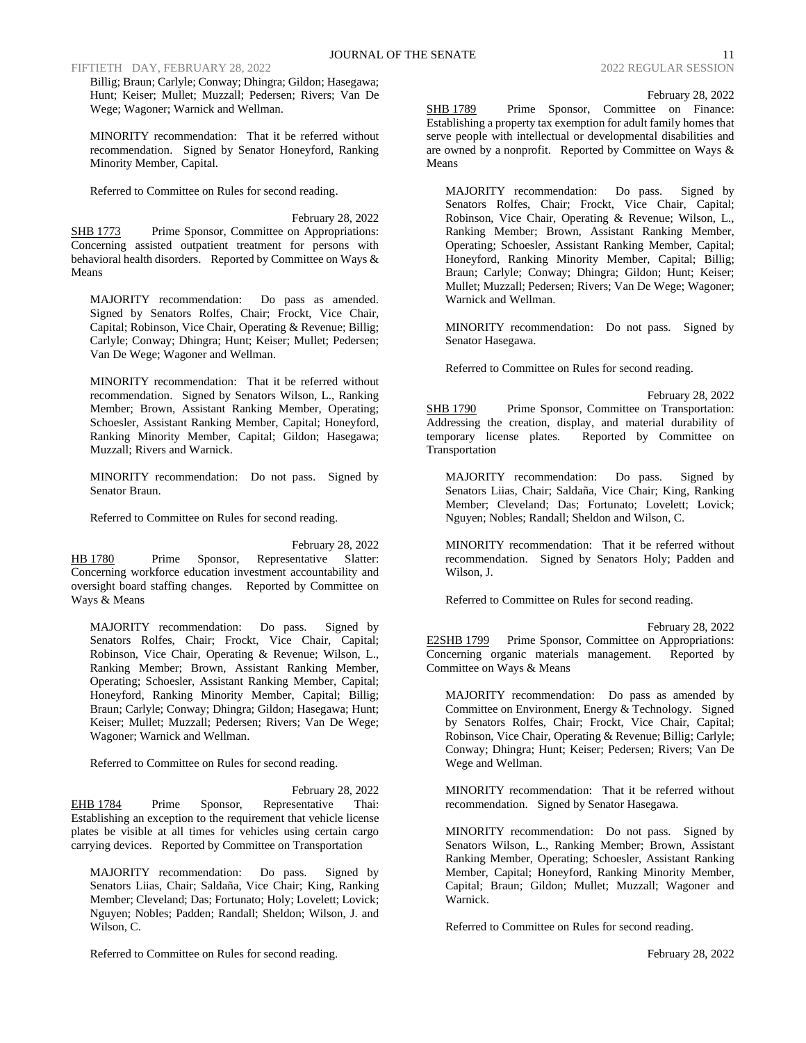FIFTIETH DAY, FEBRUARY 28, 2022 2022 2022 2022 REGULAR SESSION

Billig; Braun; Carlyle; Conway; Dhingra; Gildon; Hasegawa; Hunt; Keiser; Mullet; Muzzall; Pedersen; Rivers; Van De Wege; Wagoner; Warnick and Wellman.

MINORITY recommendation: That it be referred without recommendation. Signed by Senator Honeyford, Ranking Minority Member, Capital.

Referred to Committee on Rules for second reading.

February 28, 2022 SHB 1773 Prime Sponsor, Committee on Appropriations: Concerning assisted outpatient treatment for persons with behavioral health disorders. Reported by Committee on Ways & Means

MAJORITY recommendation: Do pass as amended. Signed by Senators Rolfes, Chair; Frockt, Vice Chair, Capital; Robinson, Vice Chair, Operating & Revenue; Billig; Carlyle; Conway; Dhingra; Hunt; Keiser; Mullet; Pedersen; Van De Wege; Wagoner and Wellman.

MINORITY recommendation: That it be referred without recommendation. Signed by Senators Wilson, L., Ranking Member; Brown, Assistant Ranking Member, Operating; Schoesler, Assistant Ranking Member, Capital; Honeyford, Ranking Minority Member, Capital; Gildon; Hasegawa; Muzzall; Rivers and Warnick.

MINORITY recommendation: Do not pass. Signed by Senator Braun.

Referred to Committee on Rules for second reading.

February 28, 2022 HB 1780 Prime Sponsor, Representative Slatter: Concerning workforce education investment accountability and oversight board staffing changes. Reported by Committee on Ways & Means

MAJORITY recommendation: Do pass. Signed by Senators Rolfes, Chair; Frockt, Vice Chair, Capital; Robinson, Vice Chair, Operating & Revenue; Wilson, L., Ranking Member; Brown, Assistant Ranking Member, Operating; Schoesler, Assistant Ranking Member, Capital; Honeyford, Ranking Minority Member, Capital; Billig; Braun; Carlyle; Conway; Dhingra; Gildon; Hasegawa; Hunt; Keiser; Mullet; Muzzall; Pedersen; Rivers; Van De Wege; Wagoner; Warnick and Wellman.

Referred to Committee on Rules for second reading.

February 28, 2022 EHB 1784 Prime Sponsor, Representative Thai: Establishing an exception to the requirement that vehicle license plates be visible at all times for vehicles using certain cargo carrying devices. Reported by Committee on Transportation

MAJORITY recommendation: Do pass. Signed by Senators Liias, Chair; Saldaña, Vice Chair; King, Ranking Member; Cleveland; Das; Fortunato; Holy; Lovelett; Lovick; Nguyen; Nobles; Padden; Randall; Sheldon; Wilson, J. and Wilson, C.

Referred to Committee on Rules for second reading.

February 28, 2022

SHB 1789 Prime Sponsor, Committee on Finance: Establishing a property tax exemption for adult family homes that serve people with intellectual or developmental disabilities and are owned by a nonprofit. Reported by Committee on Ways & Means

MAJORITY recommendation: Do pass. Signed by Senators Rolfes, Chair; Frockt, Vice Chair, Capital; Robinson, Vice Chair, Operating & Revenue; Wilson, L., Ranking Member; Brown, Assistant Ranking Member, Operating; Schoesler, Assistant Ranking Member, Capital; Honeyford, Ranking Minority Member, Capital; Billig; Braun; Carlyle; Conway; Dhingra; Gildon; Hunt; Keiser; Mullet; Muzzall; Pedersen; Rivers; Van De Wege; Wagoner; Warnick and Wellman.

MINORITY recommendation: Do not pass. Signed by Senator Hasegawa.

Referred to Committee on Rules for second reading.

February 28, 2022 SHB 1790 Prime Sponsor, Committee on Transportation: Addressing the creation, display, and material durability of temporary license plates. Reported by Committee on Transportation

MAJORITY recommendation: Do pass. Signed by Senators Liias, Chair; Saldaña, Vice Chair; King, Ranking Member; Cleveland; Das; Fortunato; Lovelett; Lovick; Nguyen; Nobles; Randall; Sheldon and Wilson, C.

MINORITY recommendation: That it be referred without recommendation. Signed by Senators Holy; Padden and Wilson, J.

Referred to Committee on Rules for second reading.

February 28, 2022 E2SHB 1799 Prime Sponsor, Committee on Appropriations: Concerning organic materials management. Reported by Committee on Ways & Means

MAJORITY recommendation: Do pass as amended by Committee on Environment, Energy & Technology. Signed by Senators Rolfes, Chair; Frockt, Vice Chair, Capital; Robinson, Vice Chair, Operating & Revenue; Billig; Carlyle; Conway; Dhingra; Hunt; Keiser; Pedersen; Rivers; Van De Wege and Wellman.

MINORITY recommendation: That it be referred without recommendation. Signed by Senator Hasegawa.

MINORITY recommendation: Do not pass. Signed by Senators Wilson, L., Ranking Member; Brown, Assistant Ranking Member, Operating; Schoesler, Assistant Ranking Member, Capital; Honeyford, Ranking Minority Member, Capital; Braun; Gildon; Mullet; Muzzall; Wagoner and Warnick.

Referred to Committee on Rules for second reading.

February 28, 2022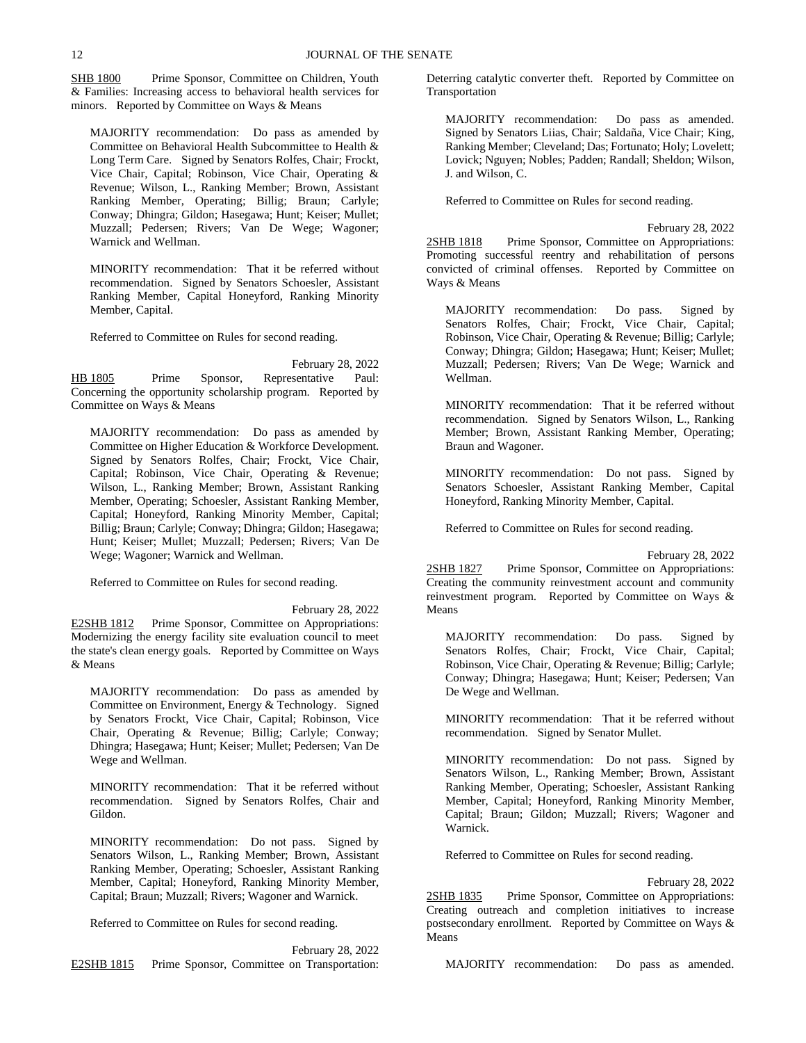SHB 1800 Prime Sponsor, Committee on Children, Youth & Families: Increasing access to behavioral health services for minors. Reported by Committee on Ways & Means

MAJORITY recommendation: Do pass as amended by Committee on Behavioral Health Subcommittee to Health & Long Term Care. Signed by Senators Rolfes, Chair; Frockt, Vice Chair, Capital; Robinson, Vice Chair, Operating & Revenue; Wilson, L., Ranking Member; Brown, Assistant Ranking Member, Operating; Billig; Braun; Carlyle; Conway; Dhingra; Gildon; Hasegawa; Hunt; Keiser; Mullet; Muzzall; Pedersen; Rivers; Van De Wege; Wagoner; Warnick and Wellman.

MINORITY recommendation: That it be referred without recommendation. Signed by Senators Schoesler, Assistant Ranking Member, Capital Honeyford, Ranking Minority Member, Capital.

Referred to Committee on Rules for second reading.

February 28, 2022 HB 1805 Prime Sponsor, Representative Paul: Concerning the opportunity scholarship program. Reported by Committee on Ways & Means

MAJORITY recommendation: Do pass as amended by Committee on Higher Education & Workforce Development. Signed by Senators Rolfes, Chair; Frockt, Vice Chair, Capital; Robinson, Vice Chair, Operating & Revenue; Wilson, L., Ranking Member; Brown, Assistant Ranking Member, Operating; Schoesler, Assistant Ranking Member, Capital; Honeyford, Ranking Minority Member, Capital; Billig; Braun; Carlyle; Conway; Dhingra; Gildon; Hasegawa; Hunt; Keiser; Mullet; Muzzall; Pedersen; Rivers; Van De Wege; Wagoner; Warnick and Wellman.

Referred to Committee on Rules for second reading.

February 28, 2022

E2SHB 1812 Prime Sponsor, Committee on Appropriations: Modernizing the energy facility site evaluation council to meet the state's clean energy goals. Reported by Committee on Ways & Means

MAJORITY recommendation: Do pass as amended by Committee on Environment, Energy & Technology. Signed by Senators Frockt, Vice Chair, Capital; Robinson, Vice Chair, Operating & Revenue; Billig; Carlyle; Conway; Dhingra; Hasegawa; Hunt; Keiser; Mullet; Pedersen; Van De Wege and Wellman.

MINORITY recommendation: That it be referred without recommendation. Signed by Senators Rolfes, Chair and Gildon.

MINORITY recommendation: Do not pass. Signed by Senators Wilson, L., Ranking Member; Brown, Assistant Ranking Member, Operating; Schoesler, Assistant Ranking Member, Capital; Honeyford, Ranking Minority Member, Capital; Braun; Muzzall; Rivers; Wagoner and Warnick.

Referred to Committee on Rules for second reading.

February 28, 2022 E2SHB 1815 Prime Sponsor, Committee on Transportation: Deterring catalytic converter theft. Reported by Committee on Transportation

MAJORITY recommendation: Do pass as amended. Signed by Senators Liias, Chair; Saldaña, Vice Chair; King, Ranking Member; Cleveland; Das; Fortunato; Holy; Lovelett; Lovick; Nguyen; Nobles; Padden; Randall; Sheldon; Wilson, J. and Wilson, C.

Referred to Committee on Rules for second reading.

February 28, 2022 2SHB 1818 Prime Sponsor, Committee on Appropriations: Promoting successful reentry and rehabilitation of persons convicted of criminal offenses. Reported by Committee on Ways & Means

MAJORITY recommendation: Do pass. Signed by Senators Rolfes, Chair; Frockt, Vice Chair, Capital; Robinson, Vice Chair, Operating & Revenue; Billig; Carlyle; Conway; Dhingra; Gildon; Hasegawa; Hunt; Keiser; Mullet; Muzzall; Pedersen; Rivers; Van De Wege; Warnick and Wellman.

MINORITY recommendation: That it be referred without recommendation. Signed by Senators Wilson, L., Ranking Member; Brown, Assistant Ranking Member, Operating; Braun and Wagoner.

MINORITY recommendation: Do not pass. Signed by Senators Schoesler, Assistant Ranking Member, Capital Honeyford, Ranking Minority Member, Capital.

Referred to Committee on Rules for second reading.

February 28, 2022

2SHB 1827 Prime Sponsor, Committee on Appropriations: Creating the community reinvestment account and community reinvestment program. Reported by Committee on Ways & Means

MAJORITY recommendation: Do pass. Signed by Senators Rolfes, Chair; Frockt, Vice Chair, Capital; Robinson, Vice Chair, Operating & Revenue; Billig; Carlyle; Conway; Dhingra; Hasegawa; Hunt; Keiser; Pedersen; Van De Wege and Wellman.

MINORITY recommendation: That it be referred without recommendation. Signed by Senator Mullet.

MINORITY recommendation: Do not pass. Signed by Senators Wilson, L., Ranking Member; Brown, Assistant Ranking Member, Operating; Schoesler, Assistant Ranking Member, Capital; Honeyford, Ranking Minority Member, Capital; Braun; Gildon; Muzzall; Rivers; Wagoner and Warnick.

Referred to Committee on Rules for second reading.

February 28, 2022

2SHB 1835 Prime Sponsor, Committee on Appropriations: Creating outreach and completion initiatives to increase postsecondary enrollment. Reported by Committee on Ways & Means

MAJORITY recommendation: Do pass as amended.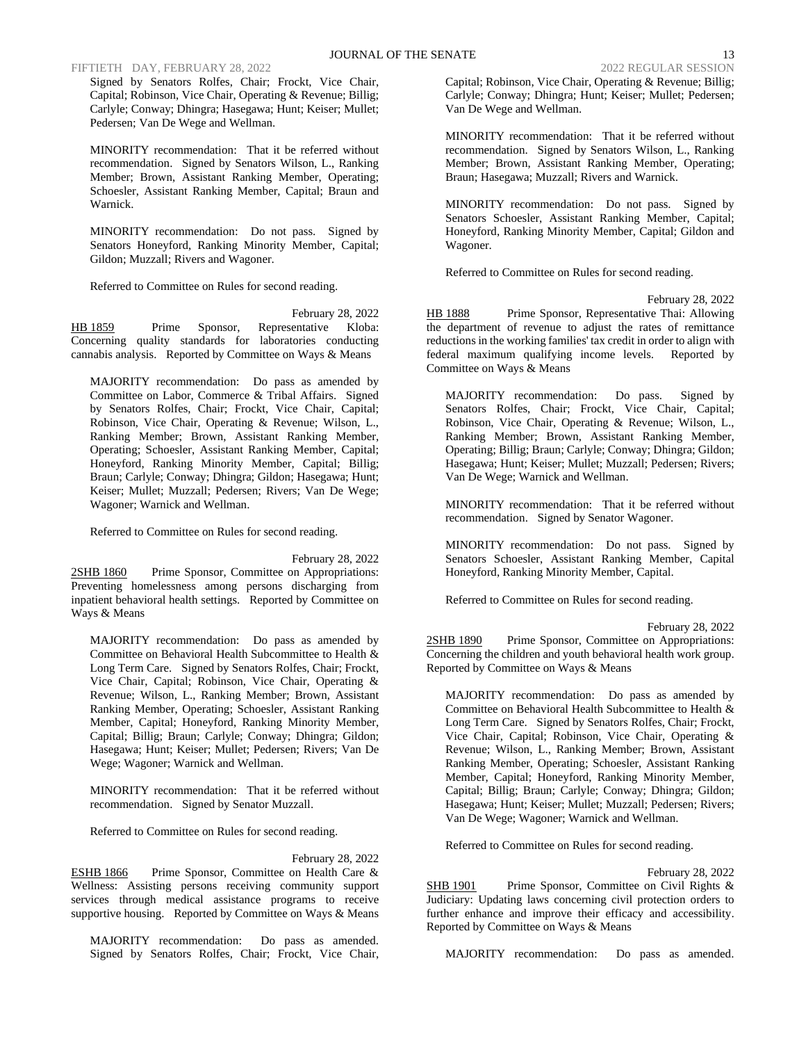### FIFTIETH DAY, FEBRUARY 28, 2022 2022 2022 2022 REGULAR SESSION

Signed by Senators Rolfes, Chair; Frockt, Vice Chair, Capital; Robinson, Vice Chair, Operating & Revenue; Billig; Carlyle; Conway; Dhingra; Hasegawa; Hunt; Keiser; Mullet; Pedersen; Van De Wege and Wellman.

MINORITY recommendation: That it be referred without recommendation. Signed by Senators Wilson, L., Ranking Member; Brown, Assistant Ranking Member, Operating; Schoesler, Assistant Ranking Member, Capital; Braun and Warnick.

MINORITY recommendation: Do not pass. Signed by Senators Honeyford, Ranking Minority Member, Capital; Gildon; Muzzall; Rivers and Wagoner.

Referred to Committee on Rules for second reading.

February 28, 2022 HB 1859 Prime Sponsor, Representative Kloba: Concerning quality standards for laboratories conducting cannabis analysis. Reported by Committee on Ways & Means

MAJORITY recommendation: Do pass as amended by Committee on Labor, Commerce & Tribal Affairs. Signed by Senators Rolfes, Chair; Frockt, Vice Chair, Capital; Robinson, Vice Chair, Operating & Revenue; Wilson, L., Ranking Member; Brown, Assistant Ranking Member, Operating; Schoesler, Assistant Ranking Member, Capital; Honeyford, Ranking Minority Member, Capital; Billig; Braun; Carlyle; Conway; Dhingra; Gildon; Hasegawa; Hunt; Keiser; Mullet; Muzzall; Pedersen; Rivers; Van De Wege; Wagoner; Warnick and Wellman.

Referred to Committee on Rules for second reading.

February 28, 2022

2SHB 1860 Prime Sponsor, Committee on Appropriations: Preventing homelessness among persons discharging from inpatient behavioral health settings. Reported by Committee on Ways & Means

MAJORITY recommendation: Do pass as amended by Committee on Behavioral Health Subcommittee to Health & Long Term Care. Signed by Senators Rolfes, Chair; Frockt, Vice Chair, Capital; Robinson, Vice Chair, Operating & Revenue; Wilson, L., Ranking Member; Brown, Assistant Ranking Member, Operating; Schoesler, Assistant Ranking Member, Capital; Honeyford, Ranking Minority Member, Capital; Billig; Braun; Carlyle; Conway; Dhingra; Gildon; Hasegawa; Hunt; Keiser; Mullet; Pedersen; Rivers; Van De Wege; Wagoner; Warnick and Wellman.

MINORITY recommendation: That it be referred without recommendation. Signed by Senator Muzzall.

Referred to Committee on Rules for second reading.

February 28, 2022

ESHB 1866 Prime Sponsor, Committee on Health Care & Wellness: Assisting persons receiving community support services through medical assistance programs to receive supportive housing. Reported by Committee on Ways & Means

MAJORITY recommendation: Do pass as amended. Signed by Senators Rolfes, Chair; Frockt, Vice Chair, Capital; Robinson, Vice Chair, Operating & Revenue; Billig; Carlyle; Conway; Dhingra; Hunt; Keiser; Mullet; Pedersen; Van De Wege and Wellman.

MINORITY recommendation: That it be referred without recommendation. Signed by Senators Wilson, L., Ranking Member; Brown, Assistant Ranking Member, Operating; Braun; Hasegawa; Muzzall; Rivers and Warnick.

MINORITY recommendation: Do not pass. Signed by Senators Schoesler, Assistant Ranking Member, Capital; Honeyford, Ranking Minority Member, Capital; Gildon and Wagoner.

Referred to Committee on Rules for second reading.

February 28, 2022 HB 1888 Prime Sponsor, Representative Thai: Allowing the department of revenue to adjust the rates of remittance reductions in the working families' tax credit in order to align with federal maximum qualifying income levels. Reported by Committee on Ways & Means

MAJORITY recommendation: Do pass. Signed by Senators Rolfes, Chair; Frockt, Vice Chair, Capital; Robinson, Vice Chair, Operating & Revenue; Wilson, L., Ranking Member; Brown, Assistant Ranking Member, Operating; Billig; Braun; Carlyle; Conway; Dhingra; Gildon; Hasegawa; Hunt; Keiser; Mullet; Muzzall; Pedersen; Rivers; Van De Wege; Warnick and Wellman.

MINORITY recommendation: That it be referred without recommendation. Signed by Senator Wagoner.

MINORITY recommendation: Do not pass. Signed by Senators Schoesler, Assistant Ranking Member, Capital Honeyford, Ranking Minority Member, Capital.

Referred to Committee on Rules for second reading.

February 28, 2022

2SHB 1890 Prime Sponsor, Committee on Appropriations: Concerning the children and youth behavioral health work group. Reported by Committee on Ways & Means

MAJORITY recommendation: Do pass as amended by Committee on Behavioral Health Subcommittee to Health & Long Term Care. Signed by Senators Rolfes, Chair; Frockt, Vice Chair, Capital; Robinson, Vice Chair, Operating & Revenue; Wilson, L., Ranking Member; Brown, Assistant Ranking Member, Operating; Schoesler, Assistant Ranking Member, Capital; Honeyford, Ranking Minority Member, Capital; Billig; Braun; Carlyle; Conway; Dhingra; Gildon; Hasegawa; Hunt; Keiser; Mullet; Muzzall; Pedersen; Rivers; Van De Wege; Wagoner; Warnick and Wellman.

Referred to Committee on Rules for second reading.

February 28, 2022

SHB 1901 Prime Sponsor, Committee on Civil Rights & Judiciary: Updating laws concerning civil protection orders to further enhance and improve their efficacy and accessibility. Reported by Committee on Ways & Means

MAJORITY recommendation: Do pass as amended.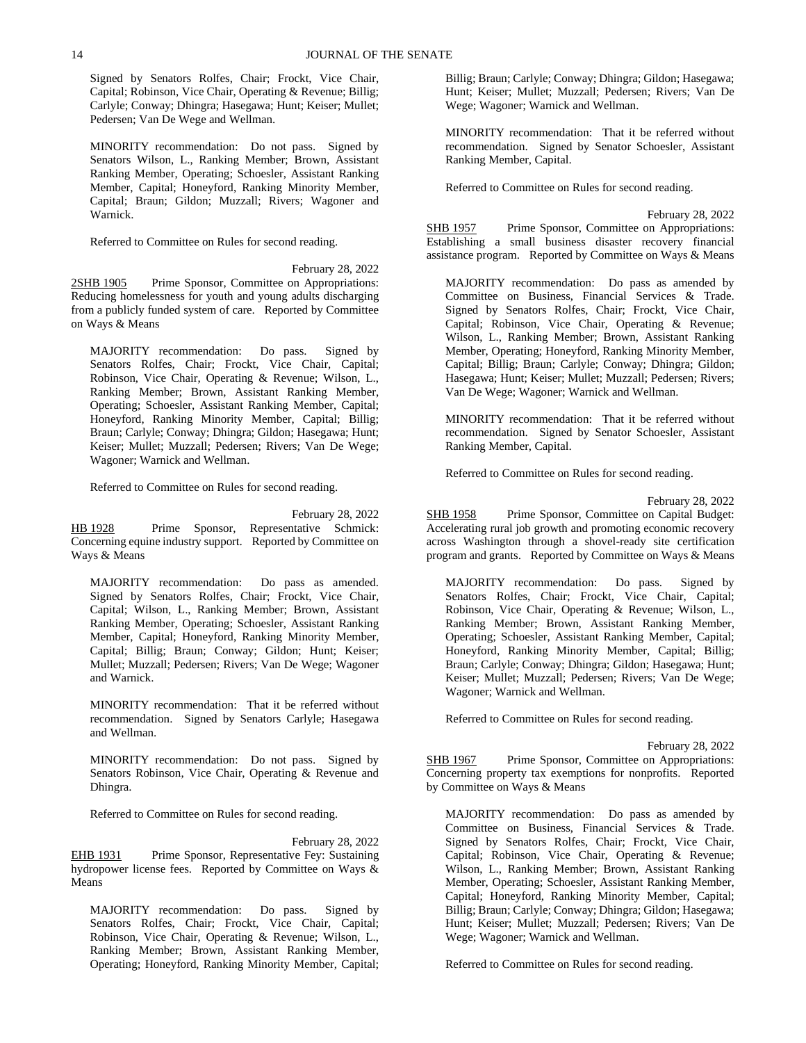Signed by Senators Rolfes, Chair; Frockt, Vice Chair, Capital; Robinson, Vice Chair, Operating & Revenue; Billig; Carlyle; Conway; Dhingra; Hasegawa; Hunt; Keiser; Mullet; Pedersen; Van De Wege and Wellman.

MINORITY recommendation: Do not pass. Signed by Senators Wilson, L., Ranking Member; Brown, Assistant Ranking Member, Operating; Schoesler, Assistant Ranking Member, Capital; Honeyford, Ranking Minority Member, Capital; Braun; Gildon; Muzzall; Rivers; Wagoner and Warnick.

Referred to Committee on Rules for second reading.

February 28, 2022 2SHB 1905 Prime Sponsor, Committee on Appropriations: Reducing homelessness for youth and young adults discharging from a publicly funded system of care. Reported by Committee on Ways & Means

MAJORITY recommendation: Do pass. Signed by Senators Rolfes, Chair; Frockt, Vice Chair, Capital; Robinson, Vice Chair, Operating & Revenue; Wilson, L., Ranking Member; Brown, Assistant Ranking Member, Operating; Schoesler, Assistant Ranking Member, Capital; Honeyford, Ranking Minority Member, Capital; Billig; Braun; Carlyle; Conway; Dhingra; Gildon; Hasegawa; Hunt; Keiser; Mullet; Muzzall; Pedersen; Rivers; Van De Wege; Wagoner; Warnick and Wellman.

Referred to Committee on Rules for second reading.

February 28, 2022 HB 1928 Prime Sponsor, Representative Schmick: Concerning equine industry support. Reported by Committee on Ways & Means

MAJORITY recommendation: Do pass as amended. Signed by Senators Rolfes, Chair; Frockt, Vice Chair, Capital; Wilson, L., Ranking Member; Brown, Assistant Ranking Member, Operating; Schoesler, Assistant Ranking Member, Capital; Honeyford, Ranking Minority Member, Capital; Billig; Braun; Conway; Gildon; Hunt; Keiser; Mullet; Muzzall; Pedersen; Rivers; Van De Wege; Wagoner and Warnick.

MINORITY recommendation: That it be referred without recommendation. Signed by Senators Carlyle; Hasegawa and Wellman.

MINORITY recommendation: Do not pass. Signed by Senators Robinson, Vice Chair, Operating & Revenue and Dhingra.

Referred to Committee on Rules for second reading.

February 28, 2022 EHB 1931 Prime Sponsor, Representative Fey: Sustaining hydropower license fees. Reported by Committee on Ways & Means

MAJORITY recommendation: Do pass. Signed by Senators Rolfes, Chair; Frockt, Vice Chair, Capital; Robinson, Vice Chair, Operating & Revenue; Wilson, L., Ranking Member; Brown, Assistant Ranking Member, Operating; Honeyford, Ranking Minority Member, Capital; Billig; Braun; Carlyle; Conway; Dhingra; Gildon; Hasegawa; Hunt; Keiser; Mullet; Muzzall; Pedersen; Rivers; Van De Wege; Wagoner; Warnick and Wellman.

MINORITY recommendation: That it be referred without recommendation. Signed by Senator Schoesler, Assistant Ranking Member, Capital.

Referred to Committee on Rules for second reading.

February 28, 2022 SHB 1957 Prime Sponsor, Committee on Appropriations: Establishing a small business disaster recovery financial assistance program. Reported by Committee on Ways & Means

MAJORITY recommendation: Do pass as amended by Committee on Business, Financial Services & Trade. Signed by Senators Rolfes, Chair; Frockt, Vice Chair, Capital; Robinson, Vice Chair, Operating & Revenue; Wilson, L., Ranking Member; Brown, Assistant Ranking Member, Operating; Honeyford, Ranking Minority Member, Capital; Billig; Braun; Carlyle; Conway; Dhingra; Gildon; Hasegawa; Hunt; Keiser; Mullet; Muzzall; Pedersen; Rivers; Van De Wege; Wagoner; Warnick and Wellman.

MINORITY recommendation: That it be referred without recommendation. Signed by Senator Schoesler, Assistant Ranking Member, Capital.

Referred to Committee on Rules for second reading.

February 28, 2022

SHB 1958 Prime Sponsor, Committee on Capital Budget: Accelerating rural job growth and promoting economic recovery across Washington through a shovel-ready site certification program and grants. Reported by Committee on Ways & Means

MAJORITY recommendation: Do pass. Signed by Senators Rolfes, Chair; Frockt, Vice Chair, Capital; Robinson, Vice Chair, Operating & Revenue; Wilson, L., Ranking Member; Brown, Assistant Ranking Member, Operating; Schoesler, Assistant Ranking Member, Capital; Honeyford, Ranking Minority Member, Capital; Billig; Braun; Carlyle; Conway; Dhingra; Gildon; Hasegawa; Hunt; Keiser; Mullet; Muzzall; Pedersen; Rivers; Van De Wege; Wagoner; Warnick and Wellman.

Referred to Committee on Rules for second reading.

### February 28, 2022

SHB 1967 Prime Sponsor, Committee on Appropriations: Concerning property tax exemptions for nonprofits. Reported by Committee on Ways & Means

MAJORITY recommendation: Do pass as amended by Committee on Business, Financial Services & Trade. Signed by Senators Rolfes, Chair; Frockt, Vice Chair, Capital; Robinson, Vice Chair, Operating & Revenue; Wilson, L., Ranking Member; Brown, Assistant Ranking Member, Operating; Schoesler, Assistant Ranking Member, Capital; Honeyford, Ranking Minority Member, Capital; Billig; Braun; Carlyle; Conway; Dhingra; Gildon; Hasegawa; Hunt; Keiser; Mullet; Muzzall; Pedersen; Rivers; Van De Wege; Wagoner; Warnick and Wellman.

Referred to Committee on Rules for second reading.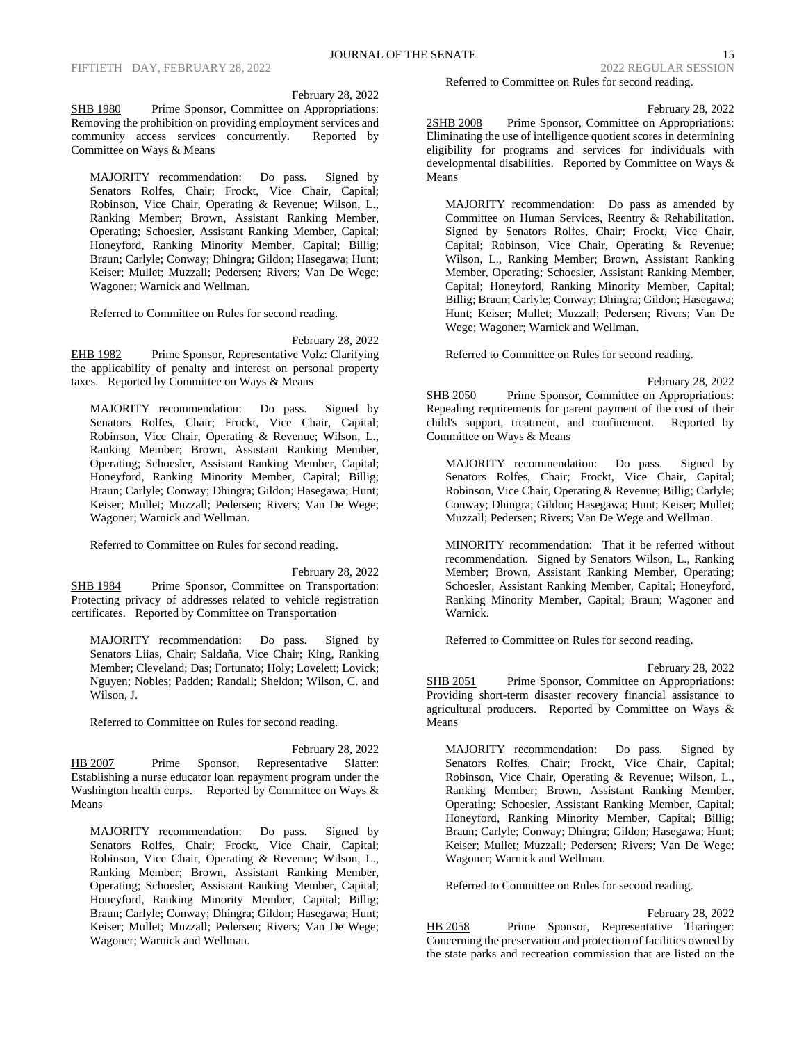February 28, 2022

SHB 1980 Prime Sponsor, Committee on Appropriations: Removing the prohibition on providing employment services and community access services concurrently. Reported by Committee on Ways & Means

MAJORITY recommendation: Do pass. Signed by Senators Rolfes, Chair; Frockt, Vice Chair, Capital; Robinson, Vice Chair, Operating & Revenue; Wilson, L., Ranking Member; Brown, Assistant Ranking Member, Operating; Schoesler, Assistant Ranking Member, Capital; Honeyford, Ranking Minority Member, Capital; Billig; Braun; Carlyle; Conway; Dhingra; Gildon; Hasegawa; Hunt; Keiser; Mullet; Muzzall; Pedersen; Rivers; Van De Wege; Wagoner; Warnick and Wellman.

Referred to Committee on Rules for second reading.

February 28, 2022

EHB 1982 Prime Sponsor, Representative Volz: Clarifying the applicability of penalty and interest on personal property taxes. Reported by Committee on Ways & Means

MAJORITY recommendation: Do pass. Signed by Senators Rolfes, Chair; Frockt, Vice Chair, Capital; Robinson, Vice Chair, Operating & Revenue; Wilson, L., Ranking Member; Brown, Assistant Ranking Member, Operating; Schoesler, Assistant Ranking Member, Capital; Honeyford, Ranking Minority Member, Capital; Billig; Braun; Carlyle; Conway; Dhingra; Gildon; Hasegawa; Hunt; Keiser; Mullet; Muzzall; Pedersen; Rivers; Van De Wege; Wagoner; Warnick and Wellman.

Referred to Committee on Rules for second reading.

February 28, 2022 SHB 1984 Prime Sponsor, Committee on Transportation: Protecting privacy of addresses related to vehicle registration certificates. Reported by Committee on Transportation

MAJORITY recommendation: Do pass. Signed by Senators Liias, Chair; Saldaña, Vice Chair; King, Ranking Member; Cleveland; Das; Fortunato; Holy; Lovelett; Lovick; Nguyen; Nobles; Padden; Randall; Sheldon; Wilson, C. and Wilson, J.

Referred to Committee on Rules for second reading.

February 28, 2022 HB 2007 Prime Sponsor, Representative Slatter: Establishing a nurse educator loan repayment program under the Washington health corps. Reported by Committee on Ways & Means

MAJORITY recommendation: Do pass. Signed by Senators Rolfes, Chair; Frockt, Vice Chair, Capital; Robinson, Vice Chair, Operating & Revenue; Wilson, L., Ranking Member; Brown, Assistant Ranking Member, Operating; Schoesler, Assistant Ranking Member, Capital; Honeyford, Ranking Minority Member, Capital; Billig; Braun; Carlyle; Conway; Dhingra; Gildon; Hasegawa; Hunt; Keiser; Mullet; Muzzall; Pedersen; Rivers; Van De Wege; Wagoner; Warnick and Wellman.

Referred to Committee on Rules for second reading.

February 28, 2022

2SHB 2008 Prime Sponsor, Committee on Appropriations: Eliminating the use of intelligence quotient scores in determining eligibility for programs and services for individuals with developmental disabilities. Reported by Committee on Ways & Means

MAJORITY recommendation: Do pass as amended by Committee on Human Services, Reentry & Rehabilitation. Signed by Senators Rolfes, Chair; Frockt, Vice Chair, Capital; Robinson, Vice Chair, Operating & Revenue; Wilson, L., Ranking Member; Brown, Assistant Ranking Member, Operating; Schoesler, Assistant Ranking Member, Capital; Honeyford, Ranking Minority Member, Capital; Billig; Braun; Carlyle; Conway; Dhingra; Gildon; Hasegawa; Hunt; Keiser; Mullet; Muzzall; Pedersen; Rivers; Van De Wege; Wagoner; Warnick and Wellman.

Referred to Committee on Rules for second reading.

February 28, 2022 SHB 2050 Prime Sponsor, Committee on Appropriations: Repealing requirements for parent payment of the cost of their child's support, treatment, and confinement. Reported by Committee on Ways & Means

MAJORITY recommendation: Do pass. Signed by Senators Rolfes, Chair; Frockt, Vice Chair, Capital; Robinson, Vice Chair, Operating & Revenue; Billig; Carlyle; Conway; Dhingra; Gildon; Hasegawa; Hunt; Keiser; Mullet; Muzzall; Pedersen; Rivers; Van De Wege and Wellman.

MINORITY recommendation: That it be referred without recommendation. Signed by Senators Wilson, L., Ranking Member; Brown, Assistant Ranking Member, Operating; Schoesler, Assistant Ranking Member, Capital; Honeyford, Ranking Minority Member, Capital; Braun; Wagoner and Warnick.

Referred to Committee on Rules for second reading.

February 28, 2022 SHB 2051 Prime Sponsor, Committee on Appropriations:

Providing short-term disaster recovery financial assistance to agricultural producers. Reported by Committee on Ways & Means

MAJORITY recommendation: Do pass. Signed by Senators Rolfes, Chair; Frockt, Vice Chair, Capital; Robinson, Vice Chair, Operating & Revenue; Wilson, L., Ranking Member; Brown, Assistant Ranking Member, Operating; Schoesler, Assistant Ranking Member, Capital; Honeyford, Ranking Minority Member, Capital; Billig; Braun; Carlyle; Conway; Dhingra; Gildon; Hasegawa; Hunt; Keiser; Mullet; Muzzall; Pedersen; Rivers; Van De Wege; Wagoner; Warnick and Wellman.

Referred to Committee on Rules for second reading.

February 28, 2022 HB 2058 Prime Sponsor, Representative Tharinger: Concerning the preservation and protection of facilities owned by the state parks and recreation commission that are listed on the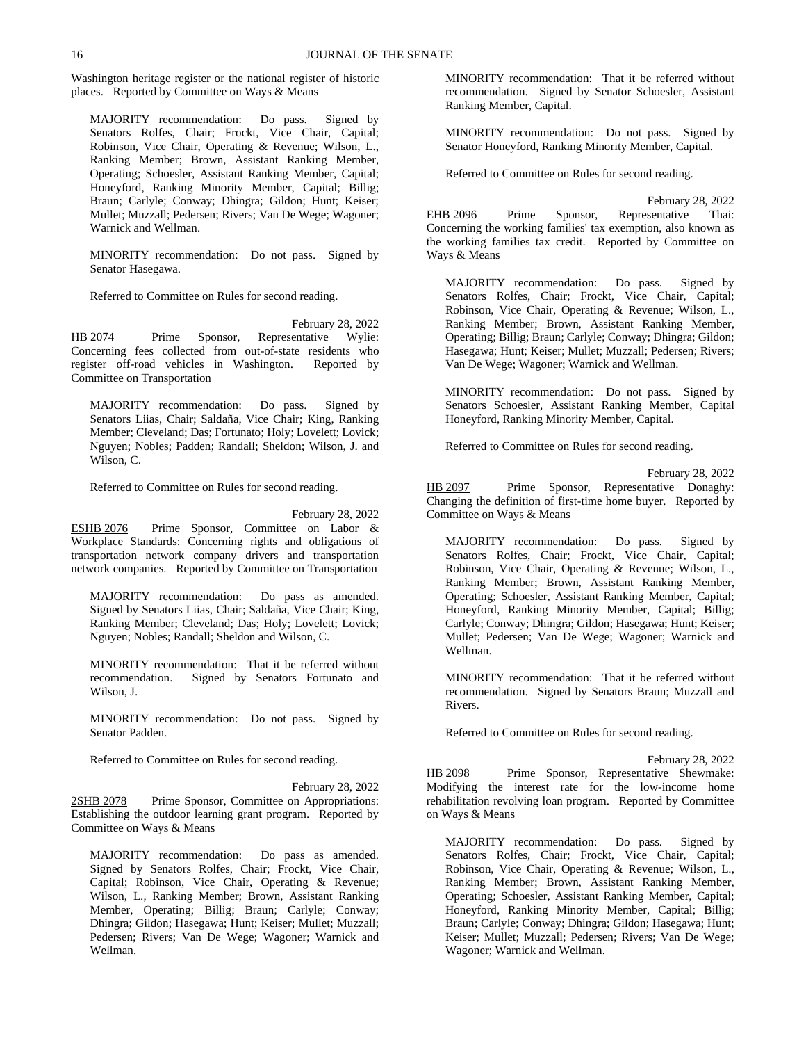Washington heritage register or the national register of historic places. Reported by Committee on Ways & Means

MAJORITY recommendation: Do pass. Signed by Senators Rolfes, Chair; Frockt, Vice Chair, Capital; Robinson, Vice Chair, Operating & Revenue; Wilson, L., Ranking Member; Brown, Assistant Ranking Member, Operating; Schoesler, Assistant Ranking Member, Capital; Honeyford, Ranking Minority Member, Capital; Billig; Braun; Carlyle; Conway; Dhingra; Gildon; Hunt; Keiser; Mullet; Muzzall; Pedersen; Rivers; Van De Wege; Wagoner; Warnick and Wellman.

MINORITY recommendation: Do not pass. Signed by Senator Hasegawa.

Referred to Committee on Rules for second reading.

February 28, 2022 HB 2074 Prime Sponsor, Representative Wylie: Concerning fees collected from out-of-state residents who register off-road vehicles in Washington. Reported by Committee on Transportation

MAJORITY recommendation: Do pass. Signed by Senators Liias, Chair; Saldaña, Vice Chair; King, Ranking Member; Cleveland; Das; Fortunato; Holy; Lovelett; Lovick; Nguyen; Nobles; Padden; Randall; Sheldon; Wilson, J. and Wilson, C.

Referred to Committee on Rules for second reading.

February 28, 2022

ESHB 2076 Prime Sponsor, Committee on Labor & Workplace Standards: Concerning rights and obligations of transportation network company drivers and transportation network companies. Reported by Committee on Transportation

MAJORITY recommendation: Do pass as amended. Signed by Senators Liias, Chair; Saldaña, Vice Chair; King, Ranking Member; Cleveland; Das; Holy; Lovelett; Lovick; Nguyen; Nobles; Randall; Sheldon and Wilson, C.

MINORITY recommendation: That it be referred without recommendation. Signed by Senators Fortunato and Wilson, J.

MINORITY recommendation: Do not pass. Signed by Senator Padden.

Referred to Committee on Rules for second reading.

February 28, 2022 2SHB 2078 Prime Sponsor, Committee on Appropriations: Establishing the outdoor learning grant program. Reported by Committee on Ways & Means

MAJORITY recommendation: Do pass as amended. Signed by Senators Rolfes, Chair; Frockt, Vice Chair, Capital; Robinson, Vice Chair, Operating & Revenue; Wilson, L., Ranking Member; Brown, Assistant Ranking Member, Operating; Billig; Braun; Carlyle; Conway; Dhingra; Gildon; Hasegawa; Hunt; Keiser; Mullet; Muzzall; Pedersen; Rivers; Van De Wege; Wagoner; Warnick and Wellman.

MINORITY recommendation: That it be referred without recommendation. Signed by Senator Schoesler, Assistant Ranking Member, Capital.

MINORITY recommendation: Do not pass. Signed by Senator Honeyford, Ranking Minority Member, Capital.

Referred to Committee on Rules for second reading.

February 28, 2022 EHB 2096 Prime Sponsor, Representative Thai: Concerning the working families' tax exemption, also known as the working families tax credit. Reported by Committee on Ways & Means

MAJORITY recommendation: Do pass. Signed by Senators Rolfes, Chair; Frockt, Vice Chair, Capital; Robinson, Vice Chair, Operating & Revenue; Wilson, L., Ranking Member; Brown, Assistant Ranking Member, Operating; Billig; Braun; Carlyle; Conway; Dhingra; Gildon; Hasegawa; Hunt; Keiser; Mullet; Muzzall; Pedersen; Rivers; Van De Wege; Wagoner; Warnick and Wellman.

MINORITY recommendation: Do not pass. Signed by Senators Schoesler, Assistant Ranking Member, Capital Honeyford, Ranking Minority Member, Capital.

Referred to Committee on Rules for second reading.

February 28, 2022 HB 2097 Prime Sponsor, Representative Donaghy: Changing the definition of first-time home buyer. Reported by Committee on Ways & Means

MAJORITY recommendation: Do pass. Signed by Senators Rolfes, Chair; Frockt, Vice Chair, Capital; Robinson, Vice Chair, Operating & Revenue; Wilson, L., Ranking Member; Brown, Assistant Ranking Member, Operating; Schoesler, Assistant Ranking Member, Capital; Honeyford, Ranking Minority Member, Capital; Billig; Carlyle; Conway; Dhingra; Gildon; Hasegawa; Hunt; Keiser; Mullet; Pedersen; Van De Wege; Wagoner; Warnick and Wellman.

MINORITY recommendation: That it be referred without recommendation. Signed by Senators Braun; Muzzall and Rivers.

Referred to Committee on Rules for second reading.

February 28, 2022 HB 2098 Prime Sponsor, Representative Shewmake: Modifying the interest rate for the low-income home rehabilitation revolving loan program. Reported by Committee on Ways & Means

MAJORITY recommendation: Do pass. Signed by Senators Rolfes, Chair; Frockt, Vice Chair, Capital; Robinson, Vice Chair, Operating & Revenue; Wilson, L., Ranking Member; Brown, Assistant Ranking Member, Operating; Schoesler, Assistant Ranking Member, Capital; Honeyford, Ranking Minority Member, Capital; Billig; Braun; Carlyle; Conway; Dhingra; Gildon; Hasegawa; Hunt; Keiser; Mullet; Muzzall; Pedersen; Rivers; Van De Wege; Wagoner; Warnick and Wellman.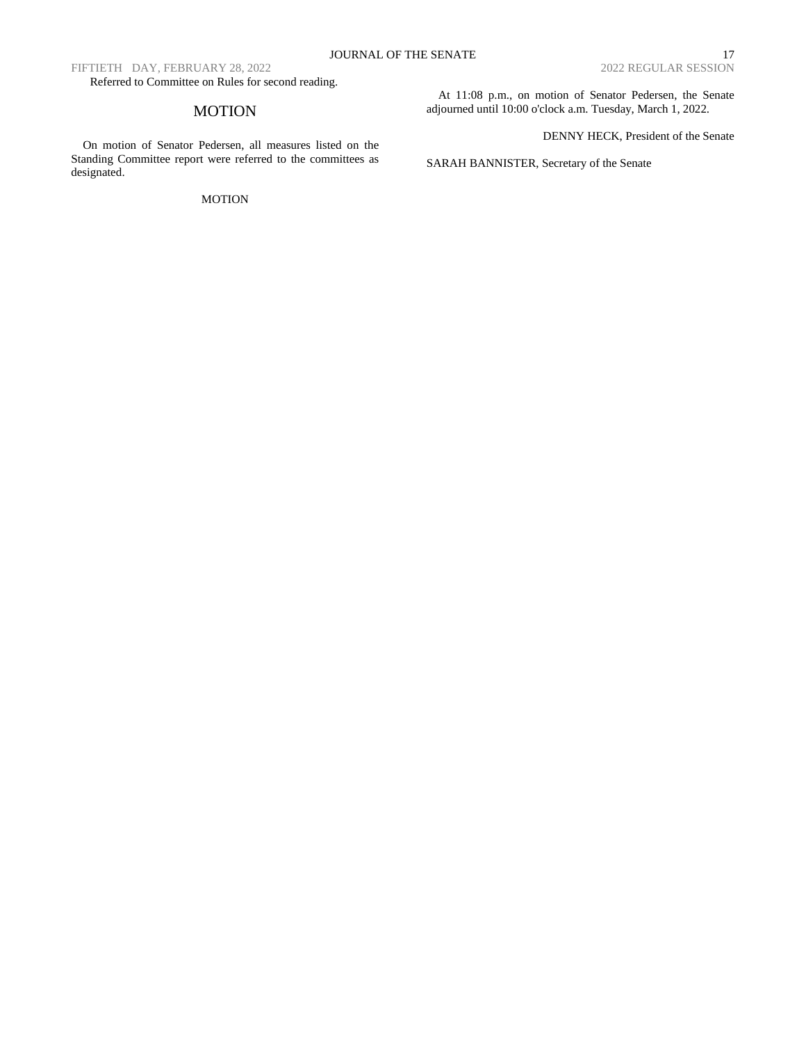FIFTIETH DAY, FEBRUARY 28, 2022

Referred to Committee on Rules for second reading.

# MOTION

On motion of Senator Pedersen, all measures listed on the Standing Committee report were referred to the committees as designated.

### MOTION

At 11:08 p.m., on motion of Senator Pedersen, the Senate adjourned until 10:00 o'clock a.m. Tuesday, March 1, 2022.

DENNY HECK, President of the Senate

SARAH BANNISTER, Secretary of the Senate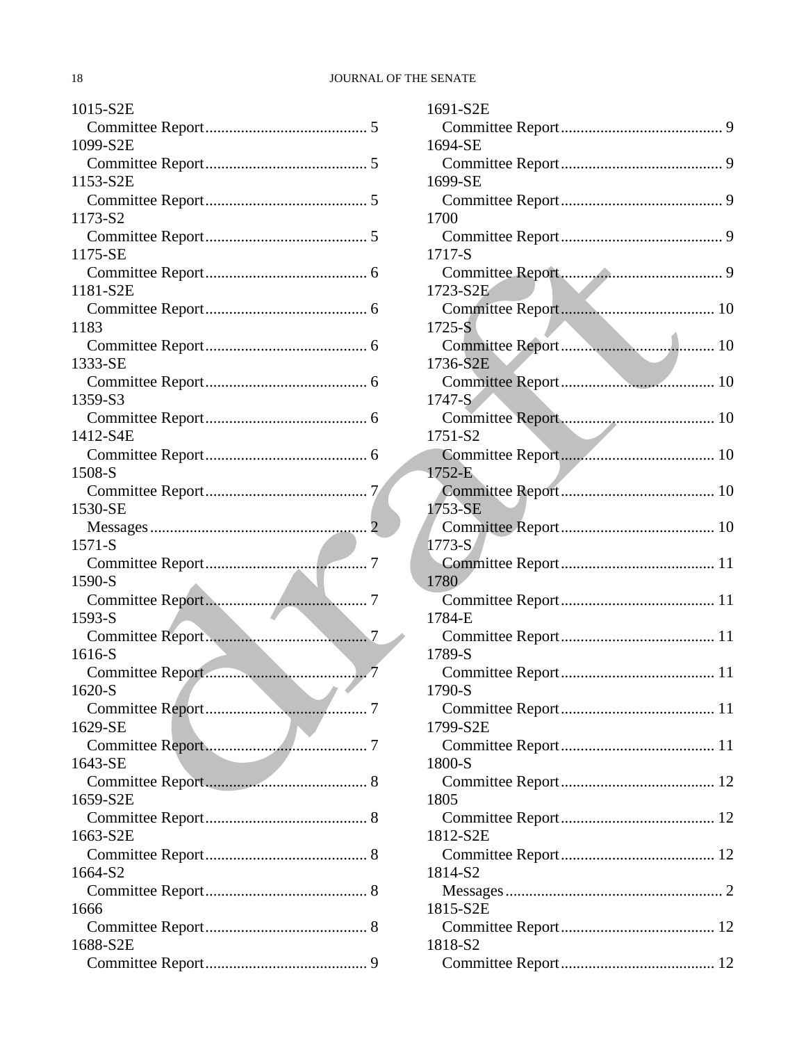## 18 JOURNAL OF THE SENATE

| 1015-S2E |
|----------|
|          |
| 1099-S2E |
|          |
| 1153-S2E |
| 1173-S2  |
|          |
| 1175-SE  |
|          |
| 1181-S2E |
|          |
| 1183     |
|          |
| 1333-SE  |
| 1359-S3  |
|          |
| 1412-S4E |
|          |
| 1508-S   |
|          |
| 1530-SE  |
|          |
|          |
| 1571-S   |
|          |
| 1590-S   |
|          |
| 1593-S   |
| 1616-S   |
|          |
| 1620-S   |
|          |
| 1629-SE  |
|          |
| 1643-SE  |
|          |
| 1659-S2E |
| 1663-S2E |
|          |
| 1664-S2  |
|          |
| 1666     |
|          |
| 1688-S2E |

| 1691-S2E   |  |
|------------|--|
|            |  |
| 1694-SE    |  |
|            |  |
| 1699-SE    |  |
| 1700       |  |
|            |  |
| 1717-S     |  |
| 1723-S2E   |  |
|            |  |
| $1725 - S$ |  |
|            |  |
| 1736-S2E   |  |
| 1747-S     |  |
|            |  |
| 1751-S2    |  |
|            |  |
| 1752-E     |  |
| 1753-SE    |  |
|            |  |
| $1773-S$   |  |
| 1780       |  |
|            |  |
| 1784-E     |  |
|            |  |
| 1789-S     |  |
| 1790-S     |  |
|            |  |
| 1799-S2E   |  |
| 1800-S     |  |
|            |  |
| 1805       |  |
|            |  |
| 1812-S2E   |  |
| 1814-S2    |  |
|            |  |
| 1815-S2E   |  |
|            |  |
| 1818-S2    |  |
|            |  |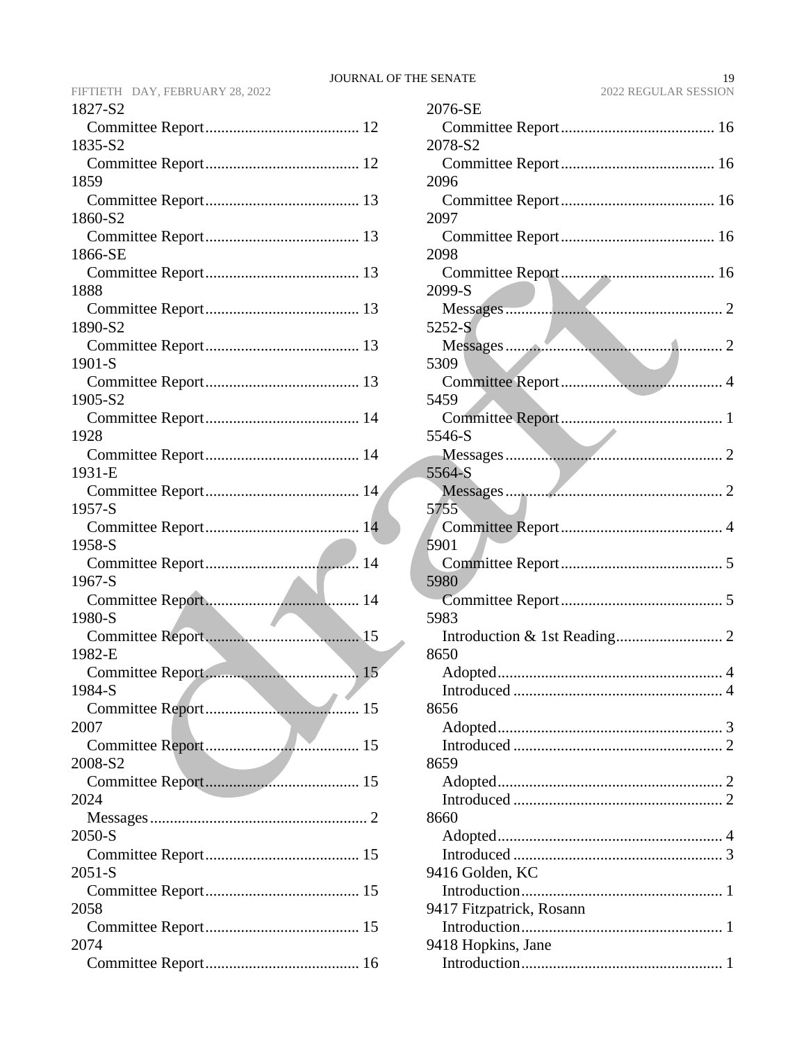| 1827-S2      |
|--------------|
|              |
| 1835-S2      |
|              |
| 1859         |
| 1860-S2      |
|              |
| 1866-SE      |
|              |
| 1888         |
| 1890-S2      |
|              |
| 1901-S       |
|              |
| 1905-S2      |
|              |
| 1928         |
| 1931-E       |
|              |
| 1957-S       |
|              |
| 1958-S       |
| 1967-S       |
|              |
| 1980-S       |
|              |
| 1982-E       |
|              |
| 1984-S<br>15 |
| 2007         |
|              |
| 2008-S2      |
|              |
| 2024         |
| 2050-S       |
|              |
| $2051-S$     |
|              |
| 2058         |
|              |
| 2074         |
|              |

| 2076-SE                  |
|--------------------------|
|                          |
| 2078-S2                  |
|                          |
| 2096                     |
|                          |
| 2097                     |
|                          |
| 2098                     |
|                          |
| 2099-S                   |
| 5252-S                   |
|                          |
| 5309                     |
|                          |
| 5459                     |
|                          |
| 5546-S                   |
|                          |
| 5564-S                   |
|                          |
| 5755                     |
|                          |
| 5901                     |
|                          |
| 5980                     |
|                          |
| 5983                     |
| 8650                     |
|                          |
| $\overline{4}$           |
| 8656                     |
|                          |
|                          |
| 8659                     |
|                          |
|                          |
| 8660                     |
|                          |
|                          |
| 9416 Golden, KC          |
|                          |
| 9417 Fitzpatrick, Rosann |
|                          |
| 9418 Hopkins, Jane       |
|                          |